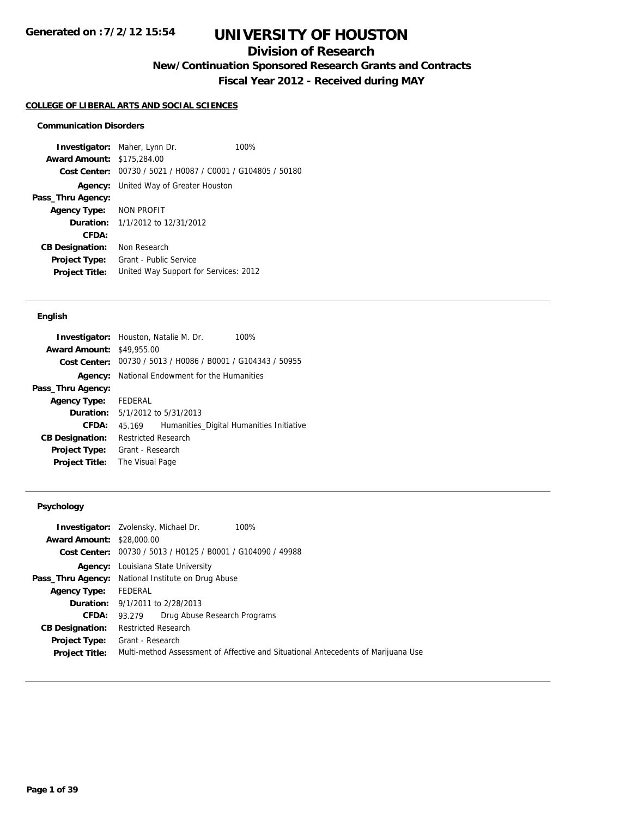## **Division of Research**

**New/Continuation Sponsored Research Grants and Contracts**

**Fiscal Year 2012 - Received during MAY**

#### **COLLEGE OF LIBERAL ARTS AND SOCIAL SCIENCES**

#### **Communication Disorders**

**Investigator:** Maher, Lynn Dr. 100% **Award Amount:** \$175,284.00 **Cost Center:** 00730 / 5021 / H0087 / C0001 / G104805 / 50180 **Agency:** United Way of Greater Houston **Pass\_Thru Agency: Agency Type:** NON PROFIT **Duration:** 1/1/2012 to 12/31/2012 **CFDA: CB Designation:** Non Research **Project Type:** Grant - Public Service **Project Title:** United Way Support for Services: 2012

#### **English**

|                        | 100%<br><b>Investigator:</b> Houston, Natalie M. Dr. |  |
|------------------------|------------------------------------------------------|--|
| <b>Award Amount:</b>   | \$49,955.00                                          |  |
| Cost Center:           | 00730 / 5013 / H0086 / B0001 / G104343 / 50955       |  |
| Agency:                | National Endowment for the Humanities                |  |
| Pass_Thru Agency:      |                                                      |  |
| <b>Agency Type:</b>    | FEDERAL                                              |  |
|                        | <b>Duration:</b> 5/1/2012 to 5/31/2013               |  |
| CFDA:                  | Humanities_Digital Humanities Initiative<br>45.169   |  |
| <b>CB Designation:</b> | <b>Restricted Research</b>                           |  |
| <b>Project Type:</b>   | Grant - Research                                     |  |
| <b>Project Title:</b>  | The Visual Page                                      |  |

#### **Psychology**

|                                  | <b>Investigator:</b> Zvolensky, Michael Dr.<br>100%                               |  |  |  |
|----------------------------------|-----------------------------------------------------------------------------------|--|--|--|
| <b>Award Amount: \$28,000.00</b> |                                                                                   |  |  |  |
|                                  | Cost Center: 00730 / 5013 / H0125 / B0001 / G104090 / 49988                       |  |  |  |
|                                  | <b>Agency:</b> Louisiana State University                                         |  |  |  |
|                                  | <b>Pass_Thru Agency:</b> National Institute on Drug Abuse                         |  |  |  |
| <b>Agency Type:</b>              | FEDERAL                                                                           |  |  |  |
|                                  | <b>Duration:</b> 9/1/2011 to 2/28/2013                                            |  |  |  |
| <b>CFDA:</b>                     | Drug Abuse Research Programs<br>93.279                                            |  |  |  |
| <b>CB Designation:</b>           | <b>Restricted Research</b>                                                        |  |  |  |
| Project Type:                    | Grant - Research                                                                  |  |  |  |
| <b>Project Title:</b>            | Multi-method Assessment of Affective and Situational Antecedents of Marijuana Use |  |  |  |
|                                  |                                                                                   |  |  |  |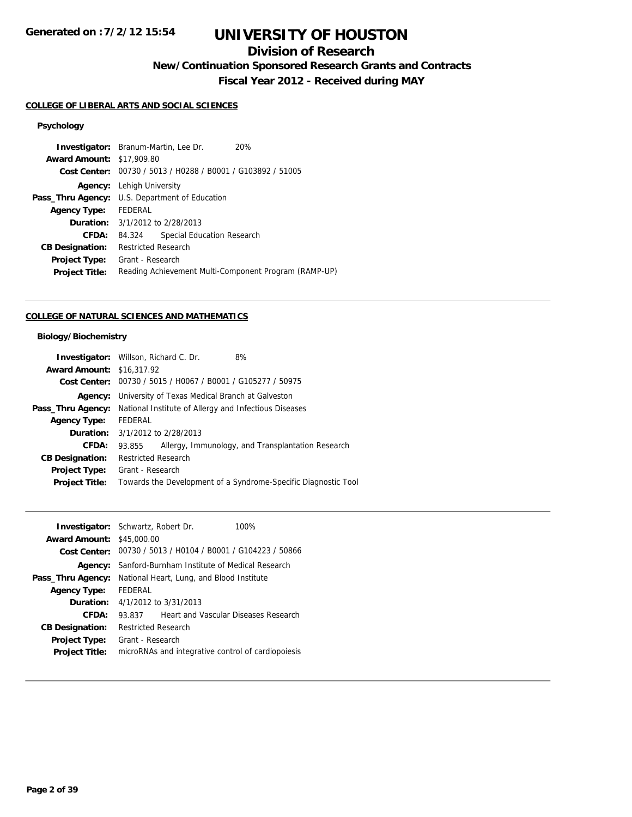## **Division of Research**

**New/Continuation Sponsored Research Grants and Contracts**

**Fiscal Year 2012 - Received during MAY**

#### **COLLEGE OF LIBERAL ARTS AND SOCIAL SCIENCES**

### **Psychology**

|                                  | <b>Investigator:</b> Branum-Martin, Lee Dr.<br>20%          |  |  |
|----------------------------------|-------------------------------------------------------------|--|--|
| <b>Award Amount: \$17,909.80</b> |                                                             |  |  |
|                                  | Cost Center: 00730 / 5013 / H0288 / B0001 / G103892 / 51005 |  |  |
|                                  | <b>Agency:</b> Lehigh University                            |  |  |
|                                  | <b>Pass_Thru Agency:</b> U.S. Department of Education       |  |  |
| <b>Agency Type:</b>              | FEDERAL                                                     |  |  |
|                                  | <b>Duration:</b> 3/1/2012 to 2/28/2013                      |  |  |
| CFDA:                            | Special Education Research<br>84.324                        |  |  |
| <b>CB Designation:</b>           | <b>Restricted Research</b>                                  |  |  |
| <b>Project Type:</b>             | Grant - Research                                            |  |  |
| <b>Project Title:</b>            | Reading Achievement Multi-Component Program (RAMP-UP)       |  |  |

### **COLLEGE OF NATURAL SCIENCES AND MATHEMATICS**

### **Biology/Biochemistry**

|                                  | <b>Investigator:</b> Willson, Richard C. Dr.<br>8%             |  |  |
|----------------------------------|----------------------------------------------------------------|--|--|
| <b>Award Amount: \$16,317.92</b> |                                                                |  |  |
|                                  | Cost Center: 00730 / 5015 / H0067 / B0001 / G105277 / 50975    |  |  |
|                                  | <b>Agency:</b> University of Texas Medical Branch at Galveston |  |  |
| Pass_Thru Agency:                | National Institute of Allergy and Infectious Diseases          |  |  |
| <b>Agency Type:</b>              | FEDERAL                                                        |  |  |
|                                  | <b>Duration:</b> 3/1/2012 to 2/28/2013                         |  |  |
| CFDA:                            | Allergy, Immunology, and Transplantation Research<br>93.855    |  |  |
| <b>CB Designation:</b>           | <b>Restricted Research</b>                                     |  |  |
| Project Type:                    | Grant - Research                                               |  |  |
| <b>Project Title:</b>            | Towards the Development of a Syndrome-Specific Diagnostic Tool |  |  |
|                                  |                                                                |  |  |

| <b>Investigator:</b> Schwartz, Robert Dr. |                                                             |                                      | 100% |
|-------------------------------------------|-------------------------------------------------------------|--------------------------------------|------|
| <b>Award Amount: \$45,000.00</b>          |                                                             |                                      |      |
|                                           | Cost Center: 00730 / 5013 / H0104 / B0001 / G104223 / 50866 |                                      |      |
| Agency:                                   | Sanford-Burnham Institute of Medical Research               |                                      |      |
| Pass_Thru Agency:                         | National Heart, Lung, and Blood Institute                   |                                      |      |
| <b>Agency Type:</b>                       | FEDERAL                                                     |                                      |      |
|                                           | <b>Duration:</b> $4/1/2012$ to $3/31/2013$                  |                                      |      |
| CFDA:                                     | 93.837                                                      | Heart and Vascular Diseases Research |      |
| <b>CB Designation:</b>                    | <b>Restricted Research</b>                                  |                                      |      |
| <b>Project Type:</b>                      | Grant - Research                                            |                                      |      |
| <b>Project Title:</b>                     | microRNAs and integrative control of cardiopoiesis          |                                      |      |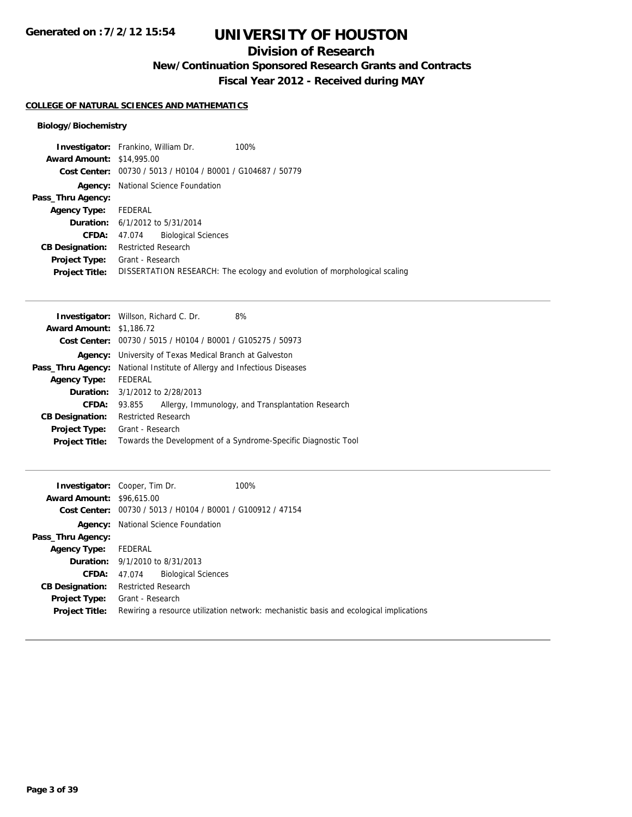## **Division of Research**

**New/Continuation Sponsored Research Grants and Contracts**

**Fiscal Year 2012 - Received during MAY**

#### **COLLEGE OF NATURAL SCIENCES AND MATHEMATICS**

### **Biology/Biochemistry**

|                            |                            | 100%                                                                                                                                                                                                                                                 |
|----------------------------|----------------------------|------------------------------------------------------------------------------------------------------------------------------------------------------------------------------------------------------------------------------------------------------|
|                            |                            |                                                                                                                                                                                                                                                      |
|                            |                            |                                                                                                                                                                                                                                                      |
|                            |                            |                                                                                                                                                                                                                                                      |
|                            |                            |                                                                                                                                                                                                                                                      |
|                            |                            |                                                                                                                                                                                                                                                      |
|                            |                            |                                                                                                                                                                                                                                                      |
|                            | <b>Biological Sciences</b> |                                                                                                                                                                                                                                                      |
| <b>Restricted Research</b> |                            |                                                                                                                                                                                                                                                      |
|                            |                            |                                                                                                                                                                                                                                                      |
|                            |                            | DISSERTATION RESEARCH: The ecology and evolution of morphological scaling                                                                                                                                                                            |
|                            | FEDERAL                    | <b>Investigator:</b> Frankino, William Dr.<br><b>Award Amount: \$14,995.00</b><br>Cost Center: 00730 / 5013 / H0104 / B0001 / G104687 / 50779<br>National Science Foundation<br><b>Duration:</b> 6/1/2012 to 5/31/2014<br>47.074<br>Grant - Research |

| <b>Investigator:</b> Willson, Richard C. Dr.<br>8%             |  |  |
|----------------------------------------------------------------|--|--|
| <b>Award Amount: \$1,186.72</b>                                |  |  |
| 00730 / 5015 / H0104 / B0001 / G105275 / 50973<br>Cost Center: |  |  |
| <b>Agency:</b> University of Texas Medical Branch at Galveston |  |  |
| National Institute of Allergy and Infectious Diseases          |  |  |
| <b>FEDERAL</b>                                                 |  |  |
| <b>Duration:</b> 3/1/2012 to 2/28/2013                         |  |  |
| Allergy, Immunology, and Transplantation Research<br>93.855    |  |  |
| <b>Restricted Research</b>                                     |  |  |
| Grant - Research                                               |  |  |
| Towards the Development of a Syndrome-Specific Diagnostic Tool |  |  |
|                                                                |  |  |

| <b>Award Amount: \$96,615,00</b>       | 100%<br><b>Investigator:</b> Cooper, Tim Dr.<br>Cost Center: 00730 / 5013 / H0104 / B0001 / G100912 / 47154 |
|----------------------------------------|-------------------------------------------------------------------------------------------------------------|
|                                        | <b>Agency:</b> National Science Foundation                                                                  |
| Pass_Thru Agency:                      |                                                                                                             |
| <b>Agency Type:</b>                    | FEDERAL                                                                                                     |
|                                        | <b>Duration:</b> 9/1/2010 to 8/31/2013                                                                      |
| <b>CFDA:</b>                           | 47.074 Biological Sciences                                                                                  |
| <b>CB Designation:</b>                 | <b>Restricted Research</b>                                                                                  |
| Project Type:<br><b>Project Title:</b> | Grant - Research<br>Rewiring a resource utilization network: mechanistic basis and ecological implications  |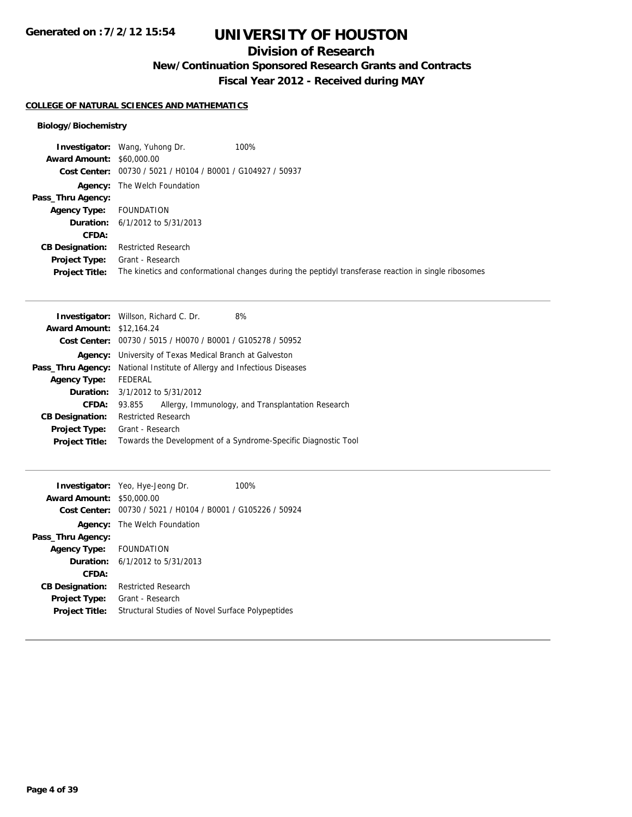## **Division of Research**

**New/Continuation Sponsored Research Grants and Contracts**

**Fiscal Year 2012 - Received during MAY**

#### **COLLEGE OF NATURAL SCIENCES AND MATHEMATICS**

### **Biology/Biochemistry**

|                                  | <b>Investigator:</b> Wang, Yuhong Dr.                       | 100%                                                                                                 |
|----------------------------------|-------------------------------------------------------------|------------------------------------------------------------------------------------------------------|
| <b>Award Amount: \$60,000.00</b> |                                                             |                                                                                                      |
|                                  | Cost Center: 00730 / 5021 / H0104 / B0001 / G104927 / 50937 |                                                                                                      |
|                                  | <b>Agency:</b> The Welch Foundation                         |                                                                                                      |
| Pass_Thru Agency:                |                                                             |                                                                                                      |
| <b>Agency Type:</b>              | FOUNDATION                                                  |                                                                                                      |
|                                  | <b>Duration:</b> $6/1/2012$ to $5/31/2013$                  |                                                                                                      |
| CFDA:                            |                                                             |                                                                                                      |
| <b>CB Designation:</b>           | <b>Restricted Research</b>                                  |                                                                                                      |
| Project Type:                    | Grant - Research                                            |                                                                                                      |
| <b>Project Title:</b>            |                                                             | The kinetics and conformational changes during the peptidyl transferase reaction in single ribosomes |

|                                  | <b>Investigator:</b> Willson, Richard C. Dr.<br>8%             |  |  |
|----------------------------------|----------------------------------------------------------------|--|--|
| <b>Award Amount: \$12,164.24</b> |                                                                |  |  |
|                                  | Cost Center: 00730 / 5015 / H0070 / B0001 / G105278 / 50952    |  |  |
| Agency:                          | University of Texas Medical Branch at Galveston                |  |  |
| Pass_Thru Agency:                | National Institute of Allergy and Infectious Diseases          |  |  |
| <b>Agency Type:</b>              | FEDERAL                                                        |  |  |
|                                  | <b>Duration:</b> 3/1/2012 to 5/31/2012                         |  |  |
| CFDA:                            | Allergy, Immunology, and Transplantation Research<br>93.855    |  |  |
| <b>CB Designation:</b>           | <b>Restricted Research</b>                                     |  |  |
| <b>Project Type:</b>             | Grant - Research                                               |  |  |
| <b>Project Title:</b>            | Towards the Development of a Syndrome-Specific Diagnostic Tool |  |  |
|                                  |                                                                |  |  |

| \$50,000.00                                                               | 100%                                                                                                                                                                                                                              |  |
|---------------------------------------------------------------------------|-----------------------------------------------------------------------------------------------------------------------------------------------------------------------------------------------------------------------------------|--|
|                                                                           |                                                                                                                                                                                                                                   |  |
|                                                                           |                                                                                                                                                                                                                                   |  |
|                                                                           |                                                                                                                                                                                                                                   |  |
|                                                                           |                                                                                                                                                                                                                                   |  |
|                                                                           |                                                                                                                                                                                                                                   |  |
|                                                                           |                                                                                                                                                                                                                                   |  |
| <b>Restricted Research</b>                                                |                                                                                                                                                                                                                                   |  |
| Grant - Research                                                          |                                                                                                                                                                                                                                   |  |
| Structural Studies of Novel Surface Polypeptides<br><b>Project Title:</b> |                                                                                                                                                                                                                                   |  |
|                                                                           | <b>Investigator:</b> Yeo, Hye-Jeong Dr.<br><b>Award Amount:</b><br>Cost Center: 00730 / 5021 / H0104 / B0001 / G105226 / 50924<br><b>Agency:</b> The Welch Foundation<br>FOUNDATION<br><b>Duration:</b> $6/1/2012$ to $5/31/2013$ |  |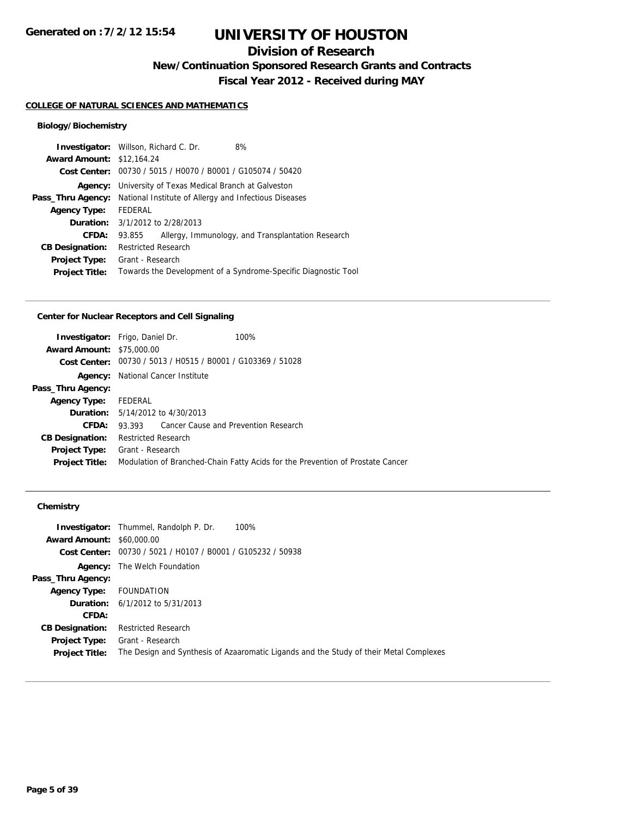# **Division of Research**

**New/Continuation Sponsored Research Grants and Contracts**

**Fiscal Year 2012 - Received during MAY**

#### **COLLEGE OF NATURAL SCIENCES AND MATHEMATICS**

### **Biology/Biochemistry**

| <b>Investigator:</b> Willson, Richard C. Dr. |                                                             |  | 8%                                                             |
|----------------------------------------------|-------------------------------------------------------------|--|----------------------------------------------------------------|
| <b>Award Amount: \$12,164.24</b>             |                                                             |  |                                                                |
|                                              | Cost Center: 00730 / 5015 / H0070 / B0001 / G105074 / 50420 |  |                                                                |
| Agency:                                      | University of Texas Medical Branch at Galveston             |  |                                                                |
| Pass_Thru Agency:                            | National Institute of Allergy and Infectious Diseases       |  |                                                                |
| <b>Agency Type:</b>                          | FEDERAL                                                     |  |                                                                |
|                                              | <b>Duration:</b> 3/1/2012 to 2/28/2013                      |  |                                                                |
| CFDA:                                        | 93.855                                                      |  | Allergy, Immunology, and Transplantation Research              |
| <b>CB Designation:</b>                       | <b>Restricted Research</b>                                  |  |                                                                |
| <b>Project Type:</b>                         | Grant - Research                                            |  |                                                                |
| <b>Project Title:</b>                        |                                                             |  | Towards the Development of a Syndrome-Specific Diagnostic Tool |
|                                              |                                                             |  |                                                                |

### **Center for Nuclear Receptors and Cell Signaling**

| <b>Investigator:</b> Frigo, Daniel Dr. |                                                                                |                                                             | 100% |
|----------------------------------------|--------------------------------------------------------------------------------|-------------------------------------------------------------|------|
| <b>Award Amount: \$75,000.00</b>       |                                                                                |                                                             |      |
|                                        |                                                                                | Cost Center: 00730 / 5013 / H0515 / B0001 / G103369 / 51028 |      |
| Agency:                                | National Cancer Institute                                                      |                                                             |      |
| Pass_Thru Agency:                      |                                                                                |                                                             |      |
| <b>Agency Type:</b>                    | FEDERAL                                                                        |                                                             |      |
|                                        | <b>Duration:</b> 5/14/2012 to 4/30/2013                                        |                                                             |      |
| CFDA:                                  |                                                                                | 93.393 Cancer Cause and Prevention Research                 |      |
| <b>CB Designation:</b>                 | Restricted Research                                                            |                                                             |      |
| <b>Project Type:</b>                   | Grant - Research                                                               |                                                             |      |
| <b>Project Title:</b>                  | Modulation of Branched-Chain Fatty Acids for the Prevention of Prostate Cancer |                                                             |      |
|                                        |                                                                                |                                                             |      |

|                                  | <b>Investigator:</b> Thummel, Randolph P. Dr.               | 100%                                                                                   |
|----------------------------------|-------------------------------------------------------------|----------------------------------------------------------------------------------------|
| <b>Award Amount: \$60,000.00</b> |                                                             |                                                                                        |
|                                  | Cost Center: 00730 / 5021 / H0107 / B0001 / G105232 / 50938 |                                                                                        |
|                                  | <b>Agency:</b> The Welch Foundation                         |                                                                                        |
| Pass_Thru Agency:                |                                                             |                                                                                        |
| <b>Agency Type:</b>              | FOUNDATION                                                  |                                                                                        |
|                                  | <b>Duration:</b> $6/1/2012$ to $5/31/2013$                  |                                                                                        |
| <b>CFDA:</b>                     |                                                             |                                                                                        |
| <b>CB Designation:</b>           | <b>Restricted Research</b>                                  |                                                                                        |
| <b>Project Type:</b>             | Grant - Research                                            |                                                                                        |
| <b>Project Title:</b>            |                                                             | The Design and Synthesis of Azaaromatic Ligands and the Study of their Metal Complexes |
|                                  |                                                             |                                                                                        |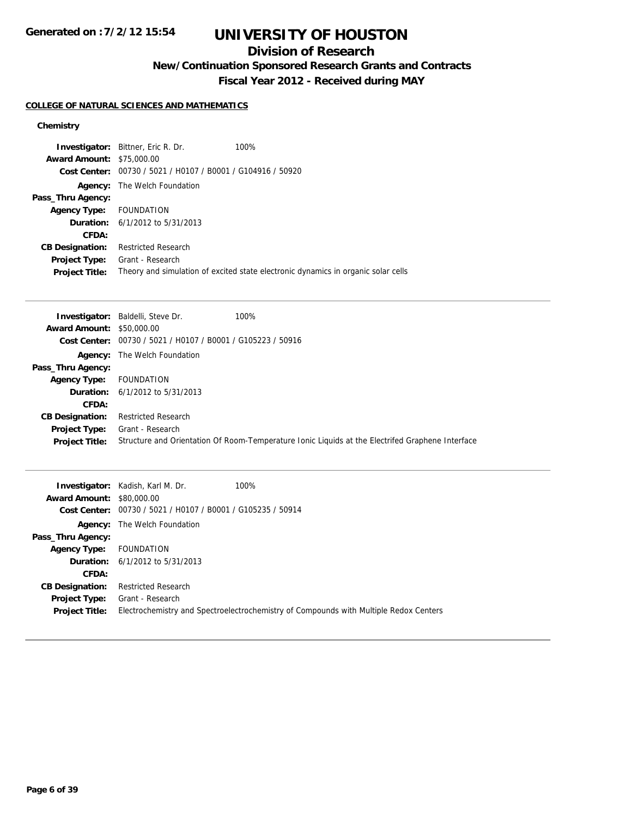# **UNIVERSITY OF HOUSTON**

## **Division of Research**

**New/Continuation Sponsored Research Grants and Contracts**

**Fiscal Year 2012 - Received during MAY**

#### **COLLEGE OF NATURAL SCIENCES AND MATHEMATICS**

|                            | 100%                                                                                                                                                                                                     |
|----------------------------|----------------------------------------------------------------------------------------------------------------------------------------------------------------------------------------------------------|
|                            |                                                                                                                                                                                                          |
|                            |                                                                                                                                                                                                          |
| The Welch Foundation       |                                                                                                                                                                                                          |
|                            |                                                                                                                                                                                                          |
|                            |                                                                                                                                                                                                          |
|                            |                                                                                                                                                                                                          |
|                            |                                                                                                                                                                                                          |
| <b>Restricted Research</b> |                                                                                                                                                                                                          |
| Grant - Research           |                                                                                                                                                                                                          |
|                            | Theory and simulation of excited state electronic dynamics in organic solar cells                                                                                                                        |
| Cost Center:               | <b>Investigator:</b> Bittner, Eric R. Dr.<br><b>Award Amount: \$75,000.00</b><br>00730 / 5021 / H0107 / B0001 / G104916 / 50920<br>Agency Type: FOUNDATION<br><b>Duration:</b> $6/1/2012$ to $5/31/2013$ |

|                                  | <b>Investigator:</b> Baldelli, Steve Dr.                             | 100%                                                                                             |
|----------------------------------|----------------------------------------------------------------------|--------------------------------------------------------------------------------------------------|
| <b>Award Amount: \$50,000.00</b> |                                                                      |                                                                                                  |
|                                  | <b>Cost Center:</b> $00730 / 5021 / 10107 / 80001 / 6105223 / 50916$ |                                                                                                  |
|                                  | <b>Agency:</b> The Welch Foundation                                  |                                                                                                  |
| Pass_Thru Agency:                |                                                                      |                                                                                                  |
| <b>Agency Type:</b>              | <b>FOUNDATION</b>                                                    |                                                                                                  |
|                                  | <b>Duration:</b> $6/1/2012$ to $5/31/2013$                           |                                                                                                  |
| CFDA:                            |                                                                      |                                                                                                  |
| <b>CB Designation:</b>           | <b>Restricted Research</b>                                           |                                                                                                  |
| Project Type:                    | Grant - Research                                                     |                                                                                                  |
| <b>Project Title:</b>            |                                                                      | Structure and Orientation Of Room-Temperature Ionic Liquids at the Electrifed Graphene Interface |

| <b>Award Amount: \$80,000.00</b>              | <b>Investigator:</b> Kadish, Karl M. Dr.                    | 100%                                                                                  |
|-----------------------------------------------|-------------------------------------------------------------|---------------------------------------------------------------------------------------|
|                                               | Cost Center: 00730 / 5021 / H0107 / B0001 / G105235 / 50914 |                                                                                       |
|                                               | <b>Agency:</b> The Welch Foundation                         |                                                                                       |
| Pass_Thru Agency:                             |                                                             |                                                                                       |
| <b>Agency Type:</b>                           | FOUNDATION                                                  |                                                                                       |
|                                               | <b>Duration:</b> $6/1/2012$ to $5/31/2013$                  |                                                                                       |
| CFDA:                                         |                                                             |                                                                                       |
| <b>CB Designation:</b>                        | <b>Restricted Research</b>                                  |                                                                                       |
| <b>Project Type:</b><br><b>Project Title:</b> | Grant - Research                                            | Electrochemistry and Spectroelectrochemistry of Compounds with Multiple Redox Centers |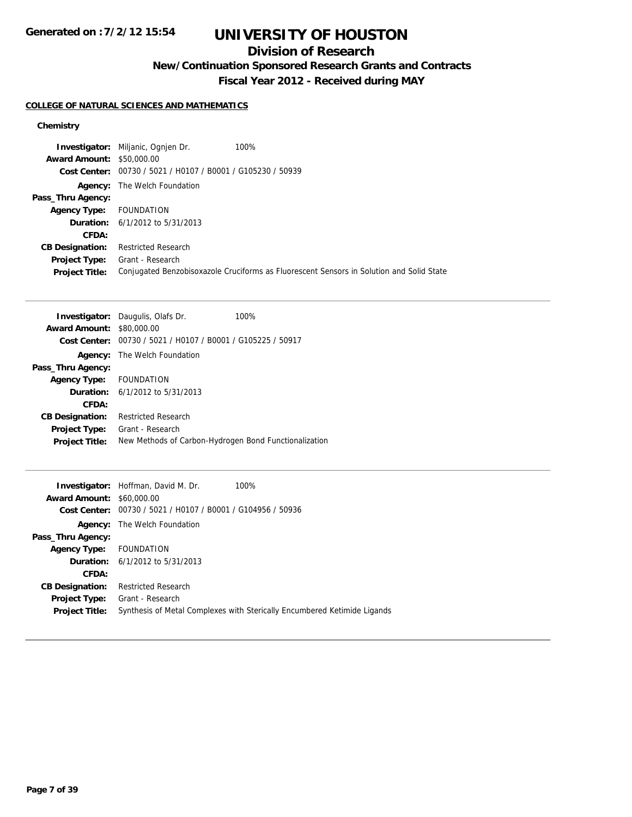# **UNIVERSITY OF HOUSTON**

# **Division of Research**

**New/Continuation Sponsored Research Grants and Contracts**

**Fiscal Year 2012 - Received during MAY**

### **COLLEGE OF NATURAL SCIENCES AND MATHEMATICS**

|                                  | <b>Investigator:</b> Miljanic, Ognien Dr.                   | 100%                                                                                     |
|----------------------------------|-------------------------------------------------------------|------------------------------------------------------------------------------------------|
| <b>Award Amount: \$50,000.00</b> |                                                             |                                                                                          |
|                                  | Cost Center: 00730 / 5021 / H0107 / B0001 / G105230 / 50939 |                                                                                          |
|                                  | <b>Agency:</b> The Welch Foundation                         |                                                                                          |
| Pass_Thru Agency:                |                                                             |                                                                                          |
| <b>Agency Type:</b>              | FOUNDATION                                                  |                                                                                          |
|                                  | <b>Duration:</b> $6/1/2012$ to $5/31/2013$                  |                                                                                          |
| CFDA:                            |                                                             |                                                                                          |
| <b>CB Designation:</b>           | <b>Restricted Research</b>                                  |                                                                                          |
| <b>Project Type:</b>             | Grant - Research                                            |                                                                                          |
| <b>Project Title:</b>            |                                                             | Conjugated Benzobisoxazole Cruciforms as Fluorescent Sensors in Solution and Solid State |

|                                                             | 100%                                                                                                                                                  |
|-------------------------------------------------------------|-------------------------------------------------------------------------------------------------------------------------------------------------------|
| \$80,000.00                                                 |                                                                                                                                                       |
| Cost Center: 00730 / 5021 / H0107 / B0001 / G105225 / 50917 |                                                                                                                                                       |
|                                                             |                                                                                                                                                       |
|                                                             |                                                                                                                                                       |
| <b>FOUNDATION</b>                                           |                                                                                                                                                       |
|                                                             |                                                                                                                                                       |
|                                                             |                                                                                                                                                       |
| <b>Restricted Research</b>                                  |                                                                                                                                                       |
| Grant - Research                                            |                                                                                                                                                       |
| New Methods of Carbon-Hydrogen Bond Functionalization       |                                                                                                                                                       |
|                                                             | <b>Investigator:</b> Daugulis, Olafs Dr.<br><b>Award Amount:</b><br><b>Agency:</b> The Welch Foundation<br><b>Duration:</b> $6/1/2012$ to $5/31/2013$ |

|                                  | 100%<br><b>Investigator:</b> Hoffman, David M. Dr.                       |
|----------------------------------|--------------------------------------------------------------------------|
| <b>Award Amount: \$60,000.00</b> |                                                                          |
|                                  | Cost Center: 00730 / 5021 / H0107 / B0001 / G104956 / 50936              |
|                                  | <b>Agency:</b> The Welch Foundation                                      |
| Pass_Thru Agency:                |                                                                          |
| Agency Type: FOUNDATION          |                                                                          |
|                                  | <b>Duration:</b> $6/1/2012$ to $5/31/2013$                               |
| CFDA:                            |                                                                          |
| <b>CB Designation:</b>           | <b>Restricted Research</b>                                               |
| <b>Project Type:</b>             | Grant - Research                                                         |
| <b>Project Title:</b>            | Synthesis of Metal Complexes with Sterically Encumbered Ketimide Ligands |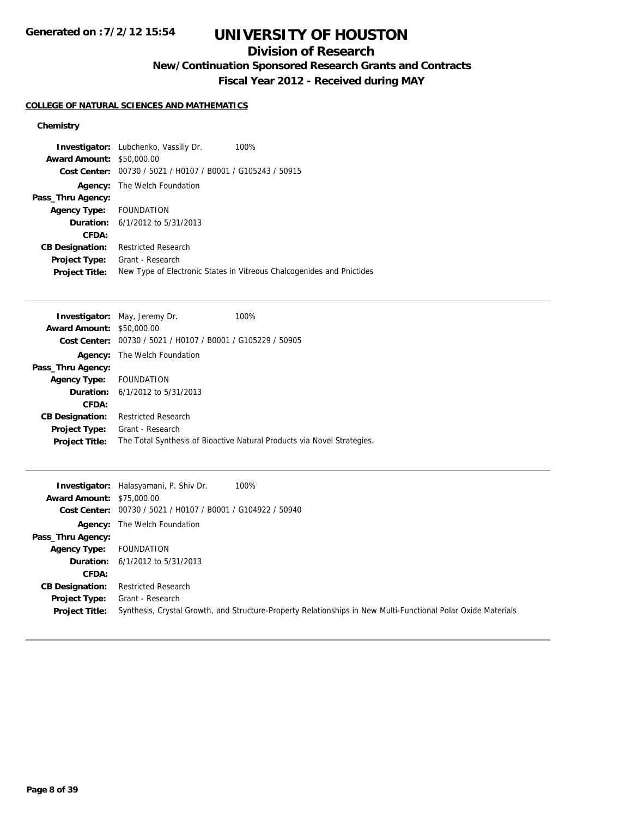## **Division of Research**

**New/Continuation Sponsored Research Grants and Contracts**

**Fiscal Year 2012 - Received during MAY**

#### **COLLEGE OF NATURAL SCIENCES AND MATHEMATICS**

|                                  | <b>Investigator:</b> Lubchenko, Vassiliy Dr.   | 100%                                                                  |
|----------------------------------|------------------------------------------------|-----------------------------------------------------------------------|
| <b>Award Amount: \$50,000.00</b> |                                                |                                                                       |
| Cost Center:                     | 00730 / 5021 / H0107 / B0001 / G105243 / 50915 |                                                                       |
|                                  | <b>Agency:</b> The Welch Foundation            |                                                                       |
| Pass_Thru Agency:                |                                                |                                                                       |
| Agency Type: FOUNDATION          |                                                |                                                                       |
|                                  | <b>Duration:</b> $6/1/2012$ to $5/31/2013$     |                                                                       |
| CFDA:                            |                                                |                                                                       |
| <b>CB Designation:</b>           | <b>Restricted Research</b>                     |                                                                       |
| <b>Project Type:</b>             | Grant - Research                               |                                                                       |
| <b>Project Title:</b>            |                                                | New Type of Electronic States in Vitreous Chalcogenides and Pnictides |

|                                                             | 100%                                                                                                                                                                  |
|-------------------------------------------------------------|-----------------------------------------------------------------------------------------------------------------------------------------------------------------------|
|                                                             |                                                                                                                                                                       |
| Cost Center: 00730 / 5021 / H0107 / B0001 / G105229 / 50905 |                                                                                                                                                                       |
| The Welch Foundation                                        |                                                                                                                                                                       |
|                                                             |                                                                                                                                                                       |
|                                                             |                                                                                                                                                                       |
|                                                             |                                                                                                                                                                       |
|                                                             |                                                                                                                                                                       |
| <b>Restricted Research</b>                                  |                                                                                                                                                                       |
|                                                             |                                                                                                                                                                       |
|                                                             | The Total Synthesis of Bioactive Natural Products via Novel Strategies.                                                                                               |
|                                                             | <b>Investigator:</b> May, Jeremy Dr.<br><b>Award Amount: \$50,000.00</b><br>Agency Type: FOUNDATION<br><b>Duration:</b> $6/1/2012$ to $5/31/2013$<br>Grant - Research |

|                                  | 100%<br><b>Investigator:</b> Halasyamani, P. Shiv Dr.                                                         |  |
|----------------------------------|---------------------------------------------------------------------------------------------------------------|--|
| <b>Award Amount: \$75,000.00</b> |                                                                                                               |  |
|                                  | Cost Center: 00730 / 5021 / H0107 / B0001 / G104922 / 50940                                                   |  |
|                                  | <b>Agency:</b> The Welch Foundation                                                                           |  |
| Pass_Thru Agency:                |                                                                                                               |  |
| <b>Agency Type:</b>              | FOUNDATION                                                                                                    |  |
|                                  | <b>Duration:</b> $6/1/2012$ to $5/31/2013$                                                                    |  |
| CFDA:                            |                                                                                                               |  |
| <b>CB Designation:</b>           | <b>Restricted Research</b>                                                                                    |  |
| Project Type:                    | Grant - Research                                                                                              |  |
| <b>Project Title:</b>            | Synthesis, Crystal Growth, and Structure-Property Relationships in New Multi-Functional Polar Oxide Materials |  |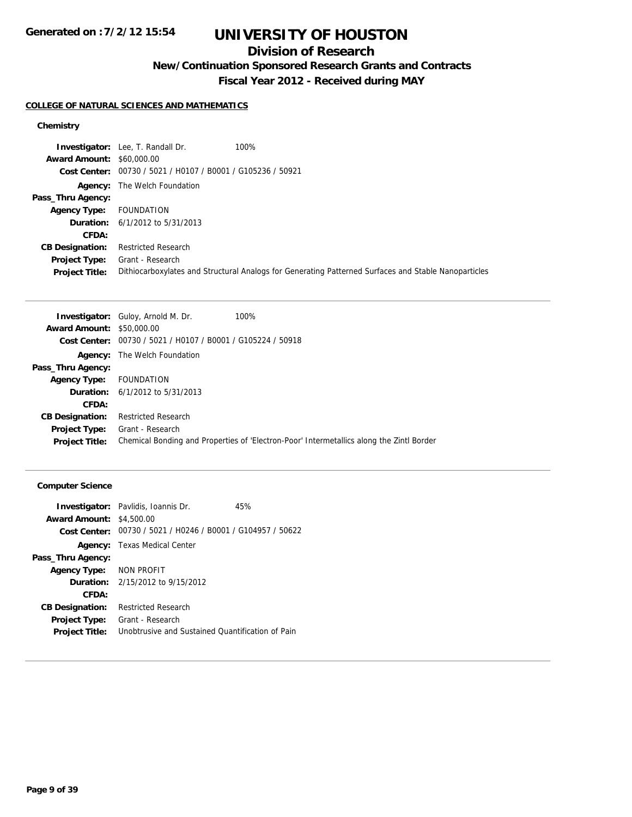# **UNIVERSITY OF HOUSTON**

## **Division of Research**

**New/Continuation Sponsored Research Grants and Contracts**

**Fiscal Year 2012 - Received during MAY**

### **COLLEGE OF NATURAL SCIENCES AND MATHEMATICS**

### **Chemistry**

|                                  | <b>Investigator:</b> Lee, T. Randall Dr.                    | 100%                                                                                                 |
|----------------------------------|-------------------------------------------------------------|------------------------------------------------------------------------------------------------------|
| <b>Award Amount: \$60,000.00</b> |                                                             |                                                                                                      |
|                                  | Cost Center: 00730 / 5021 / H0107 / B0001 / G105236 / 50921 |                                                                                                      |
|                                  | <b>Agency:</b> The Welch Foundation                         |                                                                                                      |
| Pass_Thru Agency:                |                                                             |                                                                                                      |
| <b>Agency Type:</b>              | FOUNDATION                                                  |                                                                                                      |
|                                  | <b>Duration:</b> $6/1/2012$ to $5/31/2013$                  |                                                                                                      |
| CFDA:                            |                                                             |                                                                                                      |
| <b>CB Designation:</b>           | <b>Restricted Research</b>                                  |                                                                                                      |
| Project Type:                    | Grant - Research                                            |                                                                                                      |
| <b>Project Title:</b>            |                                                             | Dithiocarboxylates and Structural Analogs for Generating Patterned Surfaces and Stable Nanoparticles |

|                            | 100%                                                                                                                                                                                                                                                                |
|----------------------------|---------------------------------------------------------------------------------------------------------------------------------------------------------------------------------------------------------------------------------------------------------------------|
|                            |                                                                                                                                                                                                                                                                     |
|                            |                                                                                                                                                                                                                                                                     |
|                            |                                                                                                                                                                                                                                                                     |
|                            |                                                                                                                                                                                                                                                                     |
|                            |                                                                                                                                                                                                                                                                     |
|                            |                                                                                                                                                                                                                                                                     |
|                            |                                                                                                                                                                                                                                                                     |
| <b>Restricted Research</b> |                                                                                                                                                                                                                                                                     |
|                            |                                                                                                                                                                                                                                                                     |
|                            | Chemical Bonding and Properties of 'Electron-Poor' Intermetallics along the Zintl Border                                                                                                                                                                            |
|                            | <b>Investigator:</b> Guloy, Arnold M. Dr.<br><b>Award Amount: \$50,000.00</b><br>Cost Center: 00730 / 5021 / H0107 / B0001 / G105224 / 50918<br><b>Agency:</b> The Welch Foundation<br>FOUNDATION<br><b>Duration:</b> $6/1/2012$ to $5/31/2013$<br>Grant - Research |

### **Computer Science**

|                                 | <b>Investigator:</b> Pavlidis, Ioannis Dr.<br>45%                  |
|---------------------------------|--------------------------------------------------------------------|
| <b>Award Amount: \$4,500.00</b> |                                                                    |
|                                 | <b>Cost Center:</b> 00730 / 5021 / H0246 / B0001 / G104957 / 50622 |
|                                 | <b>Agency:</b> Texas Medical Center                                |
| Pass_Thru Agency:               |                                                                    |
| Agency Type: NON PROFIT         |                                                                    |
|                                 | <b>Duration:</b> $2/15/2012$ to $9/15/2012$                        |
| CFDA:                           |                                                                    |
| <b>CB Designation:</b>          | <b>Restricted Research</b>                                         |
| Project Type:                   | Grant - Research                                                   |
| <b>Project Title:</b>           | Unobtrusive and Sustained Quantification of Pain                   |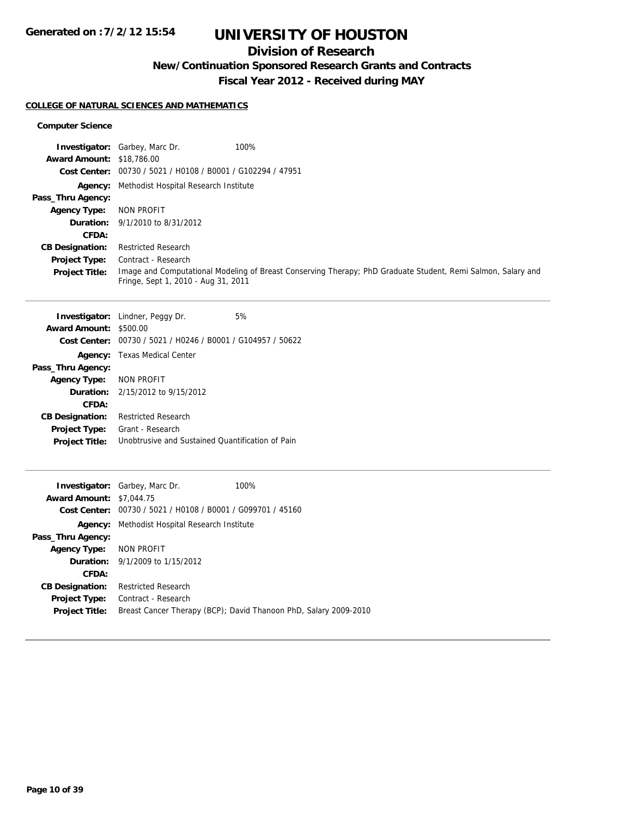# **UNIVERSITY OF HOUSTON**

# **Division of Research**

**New/Continuation Sponsored Research Grants and Contracts**

**Fiscal Year 2012 - Received during MAY**

#### **COLLEGE OF NATURAL SCIENCES AND MATHEMATICS**

#### **Computer Science**

| <b>Award Amount: \$18,786.00</b><br><b>Cost Center:</b> | Investigator: Garbey, Marc Dr.<br>00730 / 5021 / H0108 / B0001 / G102294 / 47951 | 100%                                                                                                         |
|---------------------------------------------------------|----------------------------------------------------------------------------------|--------------------------------------------------------------------------------------------------------------|
|                                                         | Agency: Methodist Hospital Research Institute                                    |                                                                                                              |
| Pass_Thru Agency:                                       |                                                                                  |                                                                                                              |
| <b>Agency Type:</b>                                     | <b>NON PROFIT</b>                                                                |                                                                                                              |
| Duration:                                               | 9/1/2010 to 8/31/2012                                                            |                                                                                                              |
| CFDA:                                                   |                                                                                  |                                                                                                              |
| <b>CB Designation:</b>                                  | <b>Restricted Research</b>                                                       |                                                                                                              |
| <b>Project Type:</b>                                    | Contract - Research                                                              |                                                                                                              |
| <b>Project Title:</b>                                   |                                                                                  | Image and Computational Modeling of Breast Conserving Therapy; PhD Graduate Student, Remi Salmon, Salary and |
|                                                         | Fringe, Sept 1, 2010 - Aug 31, 2011                                              |                                                                                                              |
|                                                         |                                                                                  |                                                                                                              |
|                                                         | <b>Investigator:</b> Lindner, Peggy Dr.                                          | 5%                                                                                                           |
| Award Amount: \$500.00                                  | Cost Center: 00730 / 5021 / H0246 / B0001 / G104957 / 50622                      |                                                                                                              |
|                                                         |                                                                                  |                                                                                                              |
| Pass_Thru Agency:                                       | Agency: Texas Medical Center                                                     |                                                                                                              |
| <b>Agency Type:</b>                                     | <b>NON PROFIT</b>                                                                |                                                                                                              |
| Duration:                                               | 2/15/2012 to 9/15/2012                                                           |                                                                                                              |
| CFDA:                                                   |                                                                                  |                                                                                                              |
| <b>CB Designation:</b>                                  | <b>Restricted Research</b>                                                       |                                                                                                              |
| <b>Project Type:</b>                                    | Grant - Research                                                                 |                                                                                                              |
| <b>Project Title:</b>                                   | Unobtrusive and Sustained Quantification of Pain                                 |                                                                                                              |
|                                                         |                                                                                  |                                                                                                              |
|                                                         | Investigator: Garbey, Marc Dr.                                                   | 100%                                                                                                         |
| <b>Award Amount: \$7,044.75</b>                         |                                                                                  |                                                                                                              |
|                                                         | Cost Center: 00730 / 5021 / H0108 / B0001 / G099701 / 45160                      |                                                                                                              |
|                                                         | Agency: Methodist Hospital Research Institute                                    |                                                                                                              |

**Pass\_Thru Agency: Agency Type:** NON PROFIT **Duration:** 9/1/2009 to 1/15/2012 **CFDA: CB Designation:** Restricted Research **Project Type:** Contract - Research **Project Title:** Breast Cancer Therapy (BCP); David Thanoon PhD, Salary 2009-2010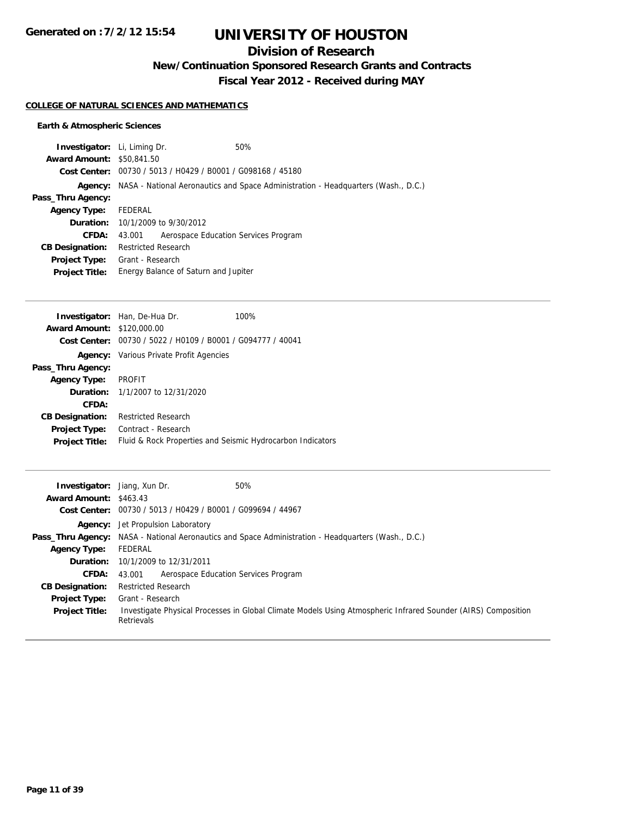# **UNIVERSITY OF HOUSTON**

# **Division of Research**

**New/Continuation Sponsored Research Grants and Contracts**

**Fiscal Year 2012 - Received during MAY**

#### **COLLEGE OF NATURAL SCIENCES AND MATHEMATICS**

### **Earth & Atmospheric Sciences**

| <b>Investigator:</b> Li, Liming Dr. |                                         | 50%                                                                               |  |
|-------------------------------------|-----------------------------------------|-----------------------------------------------------------------------------------|--|
| <b>Award Amount: \$50,841.50</b>    |                                         |                                                                                   |  |
|                                     |                                         | Cost Center: 00730 / 5013 / H0429 / B0001 / G098168 / 45180                       |  |
| Agency:                             |                                         | NASA - National Aeronautics and Space Administration - Headquarters (Wash., D.C.) |  |
| Pass_Thru Agency:                   |                                         |                                                                                   |  |
| <b>Agency Type:</b>                 | FEDERAL                                 |                                                                                   |  |
|                                     | <b>Duration:</b> 10/1/2009 to 9/30/2012 |                                                                                   |  |
| CFDA:                               | 43.001                                  | Aerospace Education Services Program                                              |  |
| <b>CB Designation:</b>              | <b>Restricted Research</b>              |                                                                                   |  |
| <b>Project Type:</b>                | Grant - Research                        |                                                                                   |  |
| <b>Project Title:</b>               |                                         | Energy Balance of Saturn and Jupiter                                              |  |
|                                     |                                         |                                                                                   |  |

|                                                             | 100%                                                                                                                                                                                   |
|-------------------------------------------------------------|----------------------------------------------------------------------------------------------------------------------------------------------------------------------------------------|
|                                                             |                                                                                                                                                                                        |
| Cost Center: 00730 / 5022 / H0109 / B0001 / G094777 / 40041 |                                                                                                                                                                                        |
|                                                             |                                                                                                                                                                                        |
|                                                             |                                                                                                                                                                                        |
|                                                             |                                                                                                                                                                                        |
|                                                             |                                                                                                                                                                                        |
|                                                             |                                                                                                                                                                                        |
| <b>Restricted Research</b>                                  |                                                                                                                                                                                        |
| Contract - Research                                         |                                                                                                                                                                                        |
| Fluid & Rock Properties and Seismic Hydrocarbon Indicators  |                                                                                                                                                                                        |
|                                                             | Investigator: Han, De-Hua Dr.<br><b>Award Amount: \$120,000.00</b><br><b>Agency:</b> Various Private Profit Agencies<br>Agency Type: PROFIT<br><b>Duration:</b> 1/1/2007 to 12/31/2020 |

| <b>Investigator:</b> Jiang, Xun Dr.<br><b>Award Amount: \$463.43</b> | 50%<br>Cost Center: 00730 / 5013 / H0429 / B0001 / G099694 / 44967                                                                              |
|----------------------------------------------------------------------|-------------------------------------------------------------------------------------------------------------------------------------------------|
|                                                                      | <b>Agency:</b> Jet Propulsion Laboratory                                                                                                        |
|                                                                      | <b>Pass_Thru Agency:</b> NASA - National Aeronautics and Space Administration - Headquarters (Wash., D.C.)                                      |
| <b>Agency Type:</b>                                                  | FEDERAL                                                                                                                                         |
|                                                                      | <b>Duration:</b> 10/1/2009 to 12/31/2011                                                                                                        |
| <b>CFDA:</b>                                                         | Aerospace Education Services Program<br>43.001                                                                                                  |
| <b>CB Designation:</b>                                               | <b>Restricted Research</b>                                                                                                                      |
| <b>Project Type:</b><br><b>Project Title:</b>                        | Grant - Research<br>Investigate Physical Processes in Global Climate Models Using Atmospheric Infrared Sounder (AIRS) Composition<br>Retrievals |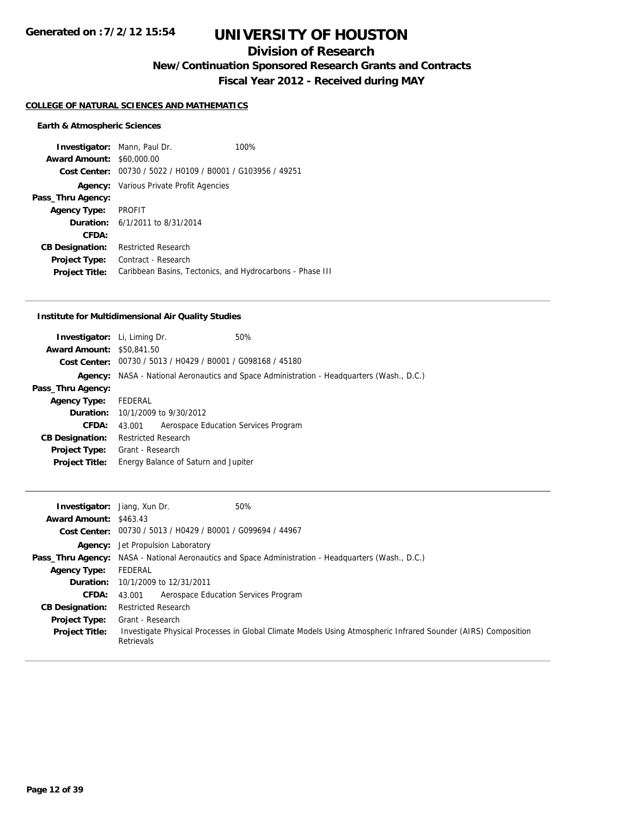## **Division of Research**

**New/Continuation Sponsored Research Grants and Contracts**

**Fiscal Year 2012 - Received during MAY**

#### **COLLEGE OF NATURAL SCIENCES AND MATHEMATICS**

#### **Earth & Atmospheric Sciences**

**Investigator:** Mann, Paul Dr. 100% **Award Amount:** \$60,000.00 **Cost Center:** 00730 / 5022 / H0109 / B0001 / G103956 / 49251 **Agency:** Various Private Profit Agencies **Pass\_Thru Agency: Agency Type:** PROFIT **Duration:** 6/1/2011 to 8/31/2014 **CFDA: CB Designation:** Restricted Research **Project Type:** Contract - Research **Project Title:** Caribbean Basins, Tectonics, and Hydrocarbons - Phase III

#### **Institute for Multidimensional Air Quality Studies**

| <b>Investigator:</b> Li, Liming Dr. |                                         | 50%                                                                                              |
|-------------------------------------|-----------------------------------------|--------------------------------------------------------------------------------------------------|
| <b>Award Amount: \$50,841.50</b>    |                                         |                                                                                                  |
|                                     |                                         | Cost Center: 00730 / 5013 / H0429 / B0001 / G098168 / 45180                                      |
|                                     |                                         | <b>Agency:</b> NASA - National Aeronautics and Space Administration - Headquarters (Wash., D.C.) |
| Pass_Thru Agency:                   |                                         |                                                                                                  |
| <b>Agency Type:</b>                 | FEDERAL                                 |                                                                                                  |
|                                     | <b>Duration:</b> 10/1/2009 to 9/30/2012 |                                                                                                  |
| CFDA:                               | 43.001                                  | Aerospace Education Services Program                                                             |
| <b>CB Designation:</b>              | <b>Restricted Research</b>              |                                                                                                  |
| <b>Project Type:</b>                | Grant - Research                        |                                                                                                  |
| <b>Project Title:</b>               | Energy Balance of Saturn and Jupiter    |                                                                                                  |
|                                     |                                         |                                                                                                  |

| <b>Investigator:</b> Jiang, Xun Dr.<br><b>Award Amount: \$463.43</b> |                                                             | 50%                                                                                                           |
|----------------------------------------------------------------------|-------------------------------------------------------------|---------------------------------------------------------------------------------------------------------------|
|                                                                      | Cost Center: 00730 / 5013 / H0429 / B0001 / G099694 / 44967 |                                                                                                               |
|                                                                      | <b>Agency:</b> Jet Propulsion Laboratory                    |                                                                                                               |
|                                                                      |                                                             | <b>Pass_Thru Agency:</b> NASA - National Aeronautics and Space Administration - Headquarters (Wash., D.C.)    |
| <b>Agency Type:</b>                                                  | FEDERAL                                                     |                                                                                                               |
|                                                                      | <b>Duration:</b> 10/1/2009 to 12/31/2011                    |                                                                                                               |
| <b>CFDA:</b>                                                         | Aerospace Education Services Program<br>43.001              |                                                                                                               |
| <b>CB Designation:</b>                                               | <b>Restricted Research</b>                                  |                                                                                                               |
| <b>Project Type:</b>                                                 | Grant - Research                                            |                                                                                                               |
| <b>Project Title:</b>                                                | Retrievals                                                  | Investigate Physical Processes in Global Climate Models Using Atmospheric Infrared Sounder (AIRS) Composition |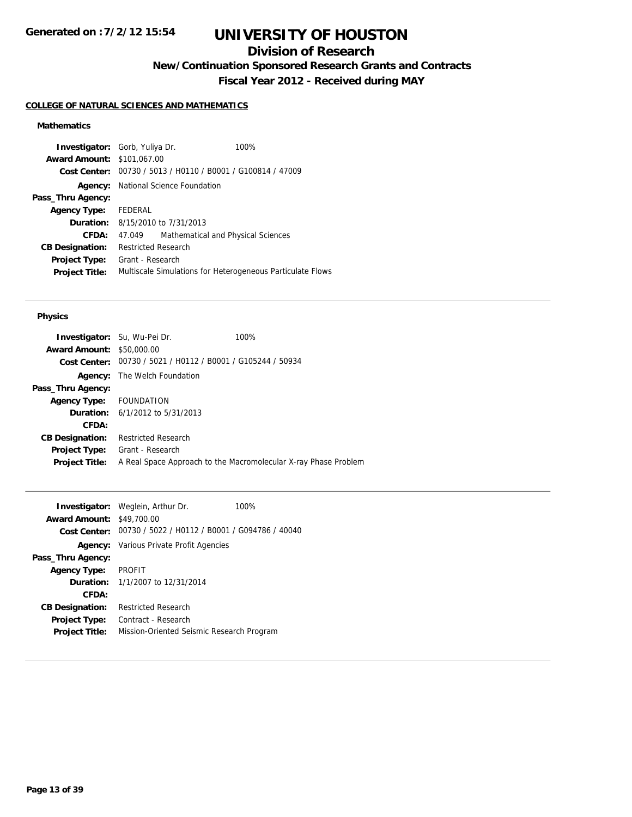## **Division of Research**

**New/Continuation Sponsored Research Grants and Contracts**

**Fiscal Year 2012 - Received during MAY**

#### **COLLEGE OF NATURAL SCIENCES AND MATHEMATICS**

### **Mathematics**

| Cost Center: 00730 / 5013 / H0110 / B0001 / G100814 / 47009<br><b>Agency:</b> National Science Foundation<br>Pass_Thru Agency:<br>FEDERAL<br><b>Agency Type:</b><br><b>Duration:</b> 8/15/2010 to 7/31/2013<br>CFDA:<br>Mathematical and Physical Sciences<br>47.049<br><b>Restricted Research</b><br><b>CB Designation:</b><br>Grant - Research<br><b>Project Type:</b><br>Multiscale Simulations for Heterogeneous Particulate Flows<br><b>Project Title:</b> | <b>Investigator:</b> Gorb, Yuliya Dr.<br><b>Award Amount: \$101,067.00</b> |  |  | 100% |
|-----------------------------------------------------------------------------------------------------------------------------------------------------------------------------------------------------------------------------------------------------------------------------------------------------------------------------------------------------------------------------------------------------------------------------------------------------------------|----------------------------------------------------------------------------|--|--|------|
|                                                                                                                                                                                                                                                                                                                                                                                                                                                                 |                                                                            |  |  |      |
|                                                                                                                                                                                                                                                                                                                                                                                                                                                                 |                                                                            |  |  |      |
|                                                                                                                                                                                                                                                                                                                                                                                                                                                                 |                                                                            |  |  |      |
|                                                                                                                                                                                                                                                                                                                                                                                                                                                                 |                                                                            |  |  |      |
|                                                                                                                                                                                                                                                                                                                                                                                                                                                                 |                                                                            |  |  |      |
|                                                                                                                                                                                                                                                                                                                                                                                                                                                                 |                                                                            |  |  |      |
|                                                                                                                                                                                                                                                                                                                                                                                                                                                                 |                                                                            |  |  |      |
|                                                                                                                                                                                                                                                                                                                                                                                                                                                                 |                                                                            |  |  |      |
|                                                                                                                                                                                                                                                                                                                                                                                                                                                                 |                                                                            |  |  |      |

#### **Physics**

|                                  | <b>Investigator:</b> Su, Wu-Pei Dr.                         | 100%                                                            |
|----------------------------------|-------------------------------------------------------------|-----------------------------------------------------------------|
| <b>Award Amount: \$50,000.00</b> |                                                             |                                                                 |
|                                  | Cost Center: 00730 / 5021 / H0112 / B0001 / G105244 / 50934 |                                                                 |
|                                  | <b>Agency:</b> The Welch Foundation                         |                                                                 |
| Pass_Thru Agency:                |                                                             |                                                                 |
| Agency Type: FOUNDATION          |                                                             |                                                                 |
|                                  | <b>Duration:</b> $6/1/2012$ to $5/31/2013$                  |                                                                 |
| CFDA:                            |                                                             |                                                                 |
| <b>CB Designation:</b>           | <b>Restricted Research</b>                                  |                                                                 |
| <b>Project Type:</b>             | Grant - Research                                            |                                                                 |
| <b>Project Title:</b>            |                                                             | A Real Space Approach to the Macromolecular X-ray Phase Problem |
|                                  |                                                             |                                                                 |

|                                  | <b>Investigator:</b> Weglein, Arthur Dr.                    | 100% |
|----------------------------------|-------------------------------------------------------------|------|
| <b>Award Amount: \$49,700.00</b> |                                                             |      |
|                                  | Cost Center: 00730 / 5022 / H0112 / B0001 / G094786 / 40040 |      |
|                                  | <b>Agency:</b> Various Private Profit Agencies              |      |
| Pass_Thru Agency:                |                                                             |      |
| <b>Agency Type:</b>              | <b>PROFIT</b>                                               |      |
|                                  | <b>Duration:</b> $1/1/2007$ to $12/31/2014$                 |      |
| CFDA:                            |                                                             |      |
| <b>CB Designation:</b>           | <b>Restricted Research</b>                                  |      |
| <b>Project Type:</b>             | Contract - Research                                         |      |
| <b>Project Title:</b>            | Mission-Oriented Seismic Research Program                   |      |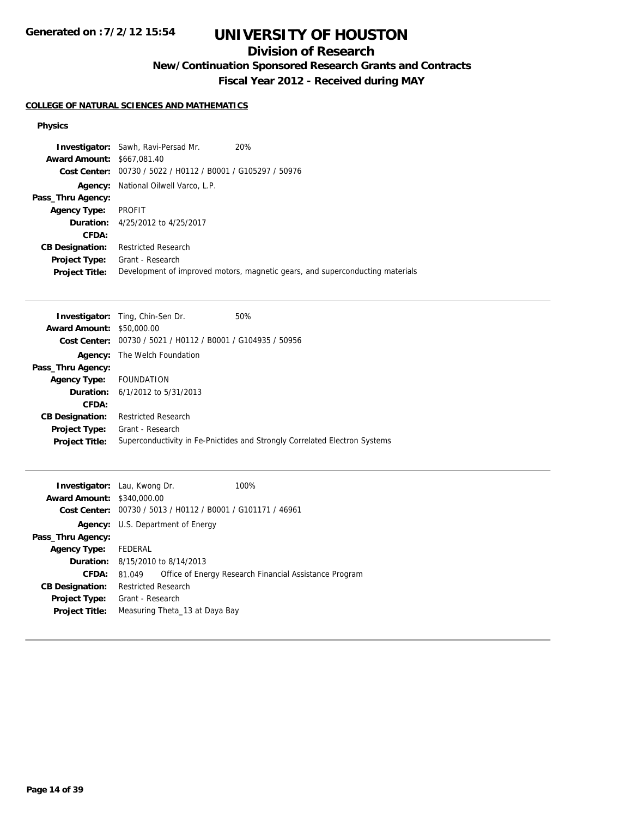# **UNIVERSITY OF HOUSTON**

# **Division of Research**

**New/Continuation Sponsored Research Grants and Contracts**

**Fiscal Year 2012 - Received during MAY**

### **COLLEGE OF NATURAL SCIENCES AND MATHEMATICS**

#### **Physics**

|                                   | <b>Investigator:</b> Sawh, Ravi-Persad Mr.     | 20%                                                                           |
|-----------------------------------|------------------------------------------------|-------------------------------------------------------------------------------|
| <b>Award Amount: \$667,081.40</b> |                                                |                                                                               |
| Cost Center:                      | 00730 / 5022 / H0112 / B0001 / G105297 / 50976 |                                                                               |
| Agency:                           | National Oilwell Varco, L.P.                   |                                                                               |
| Pass_Thru Agency:                 |                                                |                                                                               |
| <b>Agency Type:</b>               | PROFIT                                         |                                                                               |
|                                   | <b>Duration:</b> 4/25/2012 to 4/25/2017        |                                                                               |
| CFDA:                             |                                                |                                                                               |
| <b>CB Designation:</b>            | <b>Restricted Research</b>                     |                                                                               |
| <b>Project Type:</b>              | Grant - Research                               |                                                                               |
| <b>Project Title:</b>             |                                                | Development of improved motors, magnetic gears, and superconducting materials |

|                                  | <b>Investigator:</b> Ting, Chin-Sen Dr.                              | 50%                                                                        |
|----------------------------------|----------------------------------------------------------------------|----------------------------------------------------------------------------|
| <b>Award Amount: \$50,000.00</b> |                                                                      |                                                                            |
|                                  | <b>Cost Center:</b> $00730 / 5021 / 10112 / 80001 / 6104935 / 50956$ |                                                                            |
|                                  | <b>Agency:</b> The Welch Foundation                                  |                                                                            |
| Pass_Thru Agency:                |                                                                      |                                                                            |
| <b>Agency Type:</b>              | FOUNDATION                                                           |                                                                            |
|                                  | <b>Duration:</b> $6/1/2012$ to $5/31/2013$                           |                                                                            |
| CFDA:                            |                                                                      |                                                                            |
| <b>CB Designation:</b>           | <b>Restricted Research</b>                                           |                                                                            |
| <b>Project Type:</b>             | Grant - Research                                                     |                                                                            |
| <b>Project Title:</b>            |                                                                      | Superconductivity in Fe-Pnictides and Strongly Correlated Electron Systems |

| <b>Investigator:</b> Lau, Kwong Dr.<br><b>Award Amount: \$340,000.00</b><br>Cost Center: |                                             | 00730 / 5013 / H0112 / B0001 / G101171 / 46961 | 100%                                                   |
|------------------------------------------------------------------------------------------|---------------------------------------------|------------------------------------------------|--------------------------------------------------------|
|                                                                                          |                                             | <b>Agency:</b> U.S. Department of Energy       |                                                        |
| Pass_Thru Agency:                                                                        |                                             |                                                |                                                        |
| <b>Agency Type:</b>                                                                      | FEDERAL                                     |                                                |                                                        |
|                                                                                          | <b>Duration:</b> $8/15/2010$ to $8/14/2013$ |                                                |                                                        |
| CFDA:                                                                                    | 81.049                                      |                                                | Office of Energy Research Financial Assistance Program |
| <b>CB Designation:</b>                                                                   | <b>Restricted Research</b>                  |                                                |                                                        |
| <b>Project Type:</b><br><b>Project Title:</b>                                            | Grant - Research                            | Measuring Theta 13 at Daya Bay                 |                                                        |
|                                                                                          |                                             |                                                |                                                        |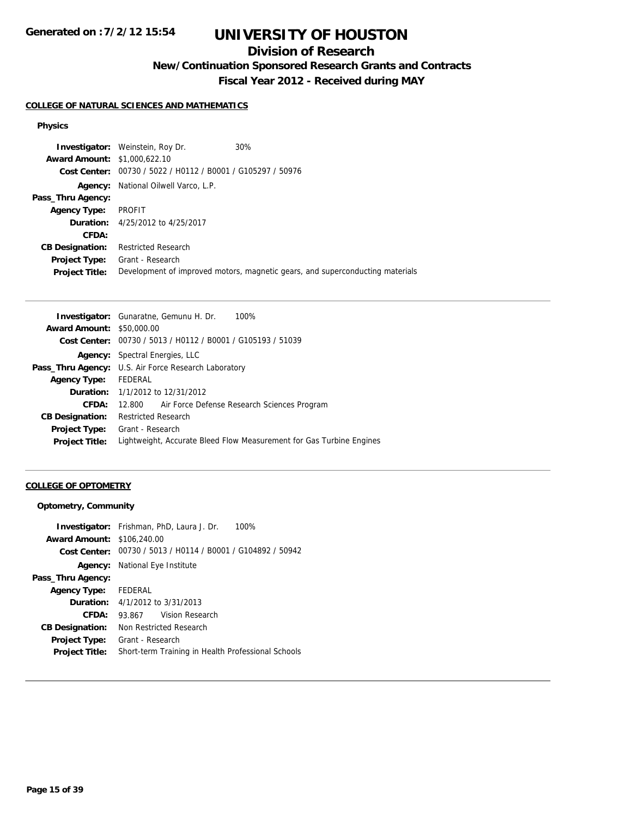# **UNIVERSITY OF HOUSTON**

# **Division of Research**

**New/Continuation Sponsored Research Grants and Contracts**

**Fiscal Year 2012 - Received during MAY**

### **COLLEGE OF NATURAL SCIENCES AND MATHEMATICS**

#### **Physics**

**Investigator:** Weinstein, Roy Dr. 30% **Award Amount:** \$1,000,622.10 **Cost Center:** 00730 / 5022 / H0112 / B0001 / G105297 / 50976 **Agency:** National Oilwell Varco, L.P. **Pass\_Thru Agency: Agency Type:** PROFIT **Duration:** 4/25/2012 to 4/25/2017 **CFDA: CB Designation:** Restricted Research **Project Type:** Grant - Research **Project Title:** Development of improved motors, magnetic gears, and superconducting materials

| Investigator: Gunaratne, Gemunu H. Dr.<br>100%                       |
|----------------------------------------------------------------------|
| <b>Award Amount: \$50,000.00</b>                                     |
| Cost Center: 00730 / 5013 / H0112 / B0001 / G105193 / 51039          |
| <b>Agency:</b> Spectral Energies, LLC                                |
| <b>Pass_Thru Agency:</b> U.S. Air Force Research Laboratory          |
| FEDERAL                                                              |
| <b>Duration:</b> 1/1/2012 to 12/31/2012                              |
| Air Force Defense Research Sciences Program<br>12.800                |
| <b>Restricted Research</b>                                           |
| Grant - Research                                                     |
| Lightweight, Accurate Bleed Flow Measurement for Gas Turbine Engines |
|                                                                      |

#### **COLLEGE OF OPTOMETRY**

#### **Optometry, Community**

| <b>Award Amount: \$106,240.00</b> | <b>Investigator:</b> Frishman, PhD, Laura J. Dr.<br>100%    |  |
|-----------------------------------|-------------------------------------------------------------|--|
|                                   |                                                             |  |
|                                   | Cost Center: 00730 / 5013 / H0114 / B0001 / G104892 / 50942 |  |
|                                   | Agency: National Eye Institute                              |  |
| Pass_Thru Agency:                 |                                                             |  |
| Agency Type:                      | FEDERAL                                                     |  |
|                                   | <b>Duration:</b> $4/1/2012$ to $3/31/2013$                  |  |
| CFDA:                             | Vision Research<br>93.867                                   |  |
| <b>CB Designation:</b>            | Non Restricted Research                                     |  |
| Project Type:                     | Grant - Research                                            |  |
| <b>Project Title:</b>             | Short-term Training in Health Professional Schools          |  |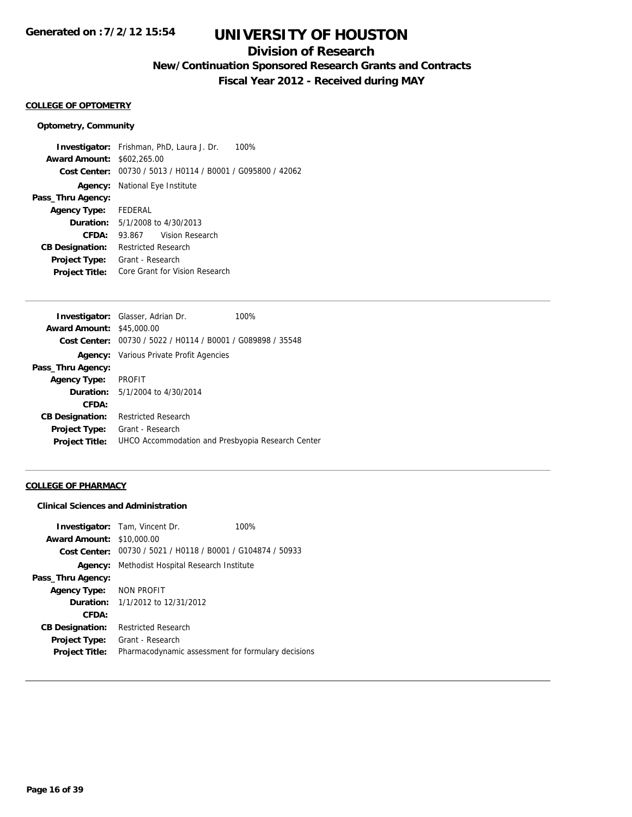## **Division of Research**

**New/Continuation Sponsored Research Grants and Contracts**

**Fiscal Year 2012 - Received during MAY**

### **COLLEGE OF OPTOMETRY**

#### **Optometry, Community**

**Investigator:** Frishman, PhD, Laura J. Dr. 100% **Award Amount:** \$602,265.00 **Cost Center:** 00730 / 5013 / H0114 / B0001 / G095800 / 42062 **Agency:** National Eye Institute **Pass\_Thru Agency: Agency Type:** FEDERAL **Duration:** 5/1/2008 to 4/30/2013 **CFDA:** 93.867 Vision Research **CB Designation:** Restricted Research **Project Type:** Grant - Research **Project Title:** Core Grant for Vision Research

|                                  | <b>Investigator:</b> Glasser, Adrian Dr.                    | 100% |
|----------------------------------|-------------------------------------------------------------|------|
| <b>Award Amount: \$45,000.00</b> |                                                             |      |
|                                  | Cost Center: 00730 / 5022 / H0114 / B0001 / G089898 / 35548 |      |
|                                  | <b>Agency:</b> Various Private Profit Agencies              |      |
| Pass_Thru Agency:                |                                                             |      |
| <b>Agency Type: PROFIT</b>       |                                                             |      |
|                                  | <b>Duration:</b> 5/1/2004 to 4/30/2014                      |      |
| CFDA:                            |                                                             |      |
| <b>CB Designation:</b>           | <b>Restricted Research</b>                                  |      |
| <b>Project Type:</b>             | Grant - Research                                            |      |
| <b>Project Title:</b>            | UHCO Accommodation and Presbyopia Research Center           |      |

#### **COLLEGE OF PHARMACY**

#### **Clinical Sciences and Administration**

|                        | <b>Investigator:</b> Tam, Vincent Dr.   | 100%                                                        |
|------------------------|-----------------------------------------|-------------------------------------------------------------|
| <b>Award Amount:</b>   | \$10,000.00                             |                                                             |
|                        |                                         | Cost Center: 00730 / 5021 / H0118 / B0001 / G104874 / 50933 |
| Agency:                | Methodist Hospital Research Institute   |                                                             |
| Pass_Thru Agency:      |                                         |                                                             |
| Agency Type:           | NON PROFIT                              |                                                             |
|                        | <b>Duration:</b> 1/1/2012 to 12/31/2012 |                                                             |
| CFDA:                  |                                         |                                                             |
| <b>CB Designation:</b> | <b>Restricted Research</b>              |                                                             |
| Project Type:          | Grant - Research                        |                                                             |
| <b>Project Title:</b>  |                                         | Pharmacodynamic assessment for formulary decisions          |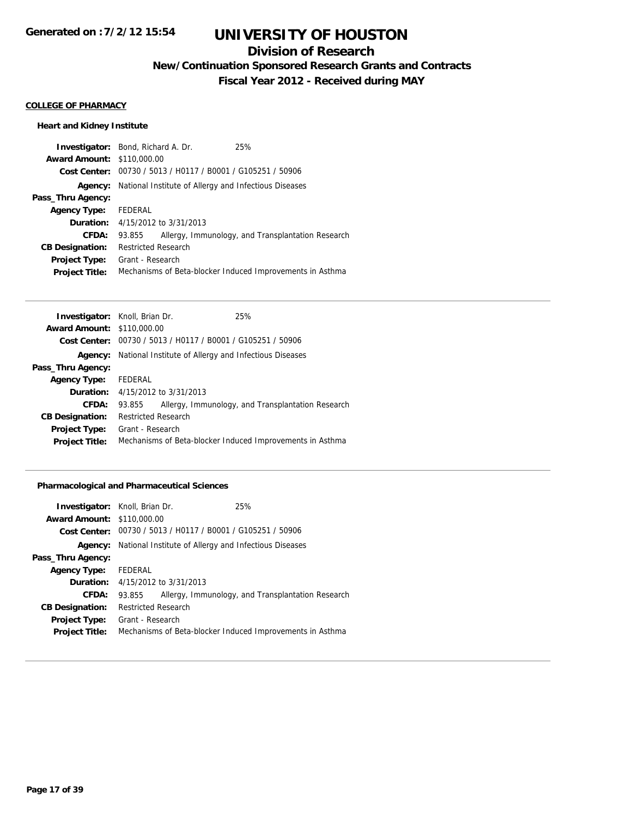## **Division of Research**

**New/Continuation Sponsored Research Grants and Contracts**

**Fiscal Year 2012 - Received during MAY**

#### **COLLEGE OF PHARMACY**

### **Heart and Kidney Institute**

| <b>Investigator:</b> Bond, Richard A. Dr. |                            |                                                             | 25%                                                       |
|-------------------------------------------|----------------------------|-------------------------------------------------------------|-----------------------------------------------------------|
| <b>Award Amount: \$110,000.00</b>         |                            |                                                             |                                                           |
|                                           |                            | Cost Center: 00730 / 5013 / H0117 / B0001 / G105251 / 50906 |                                                           |
| Agency:                                   |                            |                                                             | National Institute of Allergy and Infectious Diseases     |
| Pass_Thru Agency:                         |                            |                                                             |                                                           |
| <b>Agency Type:</b>                       | FEDERAL                    |                                                             |                                                           |
| Duration:                                 |                            | 4/15/2012 to 3/31/2013                                      |                                                           |
| CFDA:                                     | 93.855                     |                                                             | Allergy, Immunology, and Transplantation Research         |
| <b>CB Designation:</b>                    | <b>Restricted Research</b> |                                                             |                                                           |
| <b>Project Type:</b>                      | Grant - Research           |                                                             |                                                           |
| <b>Project Title:</b>                     |                            |                                                             | Mechanisms of Beta-blocker Induced Improvements in Asthma |

| <b>Investigator:</b> Knoll, Brian Dr. |                            |                                                             | 25%                                                       |
|---------------------------------------|----------------------------|-------------------------------------------------------------|-----------------------------------------------------------|
| <b>Award Amount: \$110,000.00</b>     |                            |                                                             |                                                           |
|                                       |                            | Cost Center: 00730 / 5013 / H0117 / B0001 / G105251 / 50906 |                                                           |
| Agency:                               |                            |                                                             | National Institute of Allergy and Infectious Diseases     |
| Pass_Thru Agency:                     |                            |                                                             |                                                           |
| <b>Agency Type:</b>                   | FEDERAL                    |                                                             |                                                           |
|                                       |                            | <b>Duration:</b> $4/15/2012$ to $3/31/2013$                 |                                                           |
| CFDA:                                 | 93.855                     |                                                             | Allergy, Immunology, and Transplantation Research         |
| <b>CB Designation:</b>                | <b>Restricted Research</b> |                                                             |                                                           |
| <b>Project Type:</b>                  | Grant - Research           |                                                             |                                                           |
| <b>Project Title:</b>                 |                            |                                                             | Mechanisms of Beta-blocker Induced Improvements in Asthma |
|                                       |                            |                                                             |                                                           |

### **Pharmacological and Pharmaceutical Sciences**

| <b>Investigator:</b> Knoll, Brian Dr. |                     |                                                             | 25%                                                       |
|---------------------------------------|---------------------|-------------------------------------------------------------|-----------------------------------------------------------|
| <b>Award Amount: \$110,000.00</b>     |                     |                                                             |                                                           |
|                                       |                     | Cost Center: 00730 / 5013 / H0117 / B0001 / G105251 / 50906 |                                                           |
| Agency:                               |                     |                                                             | National Institute of Allergy and Infectious Diseases     |
| Pass_Thru Agency:                     |                     |                                                             |                                                           |
| <b>Agency Type:</b>                   | FEDERAL             |                                                             |                                                           |
| Duration:                             |                     | 4/15/2012 to 3/31/2013                                      |                                                           |
| CFDA:                                 | 93.855              |                                                             | Allergy, Immunology, and Transplantation Research         |
| <b>CB Designation:</b>                | Restricted Research |                                                             |                                                           |
| <b>Project Type:</b>                  | Grant - Research    |                                                             |                                                           |
| <b>Project Title:</b>                 |                     |                                                             | Mechanisms of Beta-blocker Induced Improvements in Asthma |
|                                       |                     |                                                             |                                                           |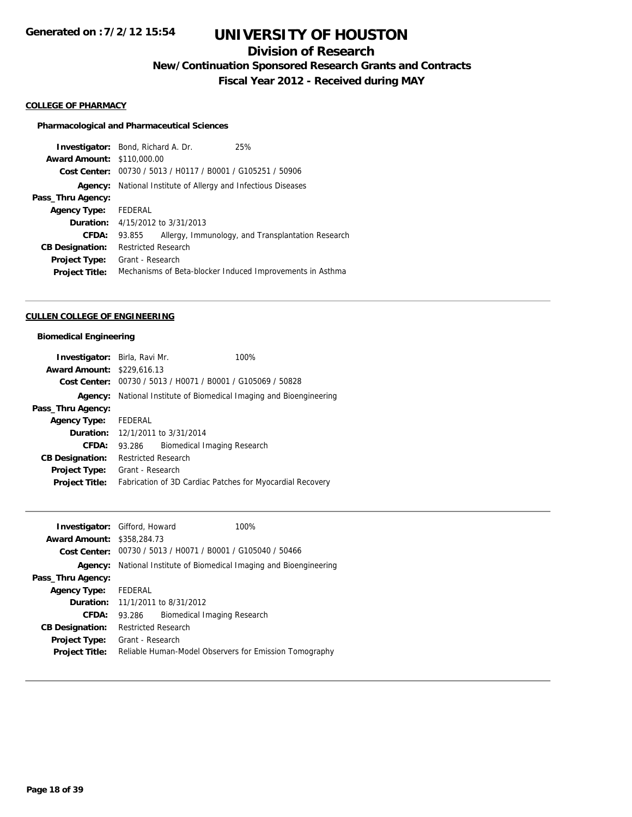# **Division of Research**

**New/Continuation Sponsored Research Grants and Contracts**

**Fiscal Year 2012 - Received during MAY**

#### **COLLEGE OF PHARMACY**

#### **Pharmacological and Pharmaceutical Sciences**

|                                   | <b>Investigator:</b> Bond, Richard A. Dr.             | 25%                                                       |
|-----------------------------------|-------------------------------------------------------|-----------------------------------------------------------|
| <b>Award Amount: \$110,000.00</b> |                                                       |                                                           |
| Cost Center:                      | 00730 / 5013 / H0117 / B0001 / G105251 / 50906        |                                                           |
| Agency:                           | National Institute of Allergy and Infectious Diseases |                                                           |
| Pass_Thru Agency:                 |                                                       |                                                           |
| <b>Agency Type:</b>               | FEDERAL                                               |                                                           |
|                                   | <b>Duration:</b> $4/15/2012$ to $3/31/2013$           |                                                           |
| CFDA:                             | 93.855                                                | Allergy, Immunology, and Transplantation Research         |
| <b>CB Designation:</b>            | <b>Restricted Research</b>                            |                                                           |
| <b>Project Type:</b>              | Grant - Research                                      |                                                           |
| <b>Project Title:</b>             |                                                       | Mechanisms of Beta-blocker Induced Improvements in Asthma |

#### **CULLEN COLLEGE OF ENGINEERING**

### **Biomedical Engineering**

| <b>Investigator:</b> Birla, Ravi Mr. |                                         | 100%                                                        |  |
|--------------------------------------|-----------------------------------------|-------------------------------------------------------------|--|
| <b>Award Amount:</b>                 | \$229,616.13                            |                                                             |  |
| Cost Center:                         |                                         | 00730 / 5013 / H0071 / B0001 / G105069 / 50828              |  |
| Agency:                              |                                         | National Institute of Biomedical Imaging and Bioengineering |  |
| Pass_Thru Agency:                    |                                         |                                                             |  |
| <b>Agency Type:</b>                  | FEDERAL                                 |                                                             |  |
|                                      | <b>Duration:</b> 12/1/2011 to 3/31/2014 |                                                             |  |
| CFDA:                                | 93.286                                  | Biomedical Imaging Research                                 |  |
| <b>CB Designation:</b>               | <b>Restricted Research</b>              |                                                             |  |
| Project Type:                        | Grant - Research                        |                                                             |  |
| <b>Project Title:</b>                |                                         | Fabrication of 3D Cardiac Patches for Myocardial Recovery   |  |

|                                   | 100%<br><b>Investigator:</b> Gifford, Howard                               |
|-----------------------------------|----------------------------------------------------------------------------|
| <b>Award Amount: \$358,284.73</b> |                                                                            |
|                                   | Cost Center: 00730 / 5013 / H0071 / B0001 / G105040 / 50466                |
|                                   | <b>Agency:</b> National Institute of Biomedical Imaging and Bioengineering |
| Pass_Thru Agency:                 |                                                                            |
| <b>Agency Type:</b>               | FEDERAL                                                                    |
|                                   | <b>Duration:</b> $11/1/2011$ to $8/31/2012$                                |
| <b>CFDA:</b>                      | Biomedical Imaging Research<br>93.286                                      |
| <b>CB Designation:</b>            | <b>Restricted Research</b>                                                 |
| Project Type:                     | Grant - Research                                                           |
| <b>Project Title:</b>             | Reliable Human-Model Observers for Emission Tomography                     |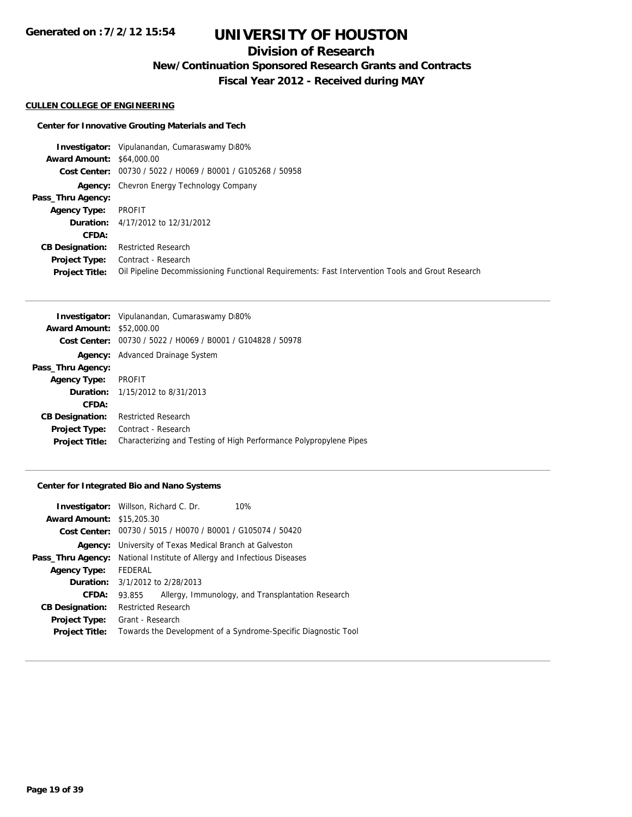# **Division of Research**

**New/Continuation Sponsored Research Grants and Contracts**

**Fiscal Year 2012 - Received during MAY**

#### **CULLEN COLLEGE OF ENGINEERING**

#### **Center for Innovative Grouting Materials and Tech**

**Investigator:** Vipulanandan, Cumaraswamy D80% **Award Amount:** \$64,000.00 **Cost Center:** 00730 / 5022 / H0069 / B0001 / G105268 / 50958 **Agency:** Chevron Energy Technology Company **Pass\_Thru Agency: Agency Type:** PROFIT **Duration:** 4/17/2012 to 12/31/2012 **CFDA: CB Designation:** Restricted Research **Project Type:** Contract - Research **Project Title:** Oil Pipeline Decommissioning Functional Requirements: Fast Intervention Tools and Grout Research

|                                  | <b>Investigator:</b> Vipulanandan, Cumaraswamy D80%                |  |  |
|----------------------------------|--------------------------------------------------------------------|--|--|
| <b>Award Amount: \$52,000.00</b> |                                                                    |  |  |
|                                  | Cost Center: 00730 / 5022 / H0069 / B0001 / G104828 / 50978        |  |  |
| Agency:                          | Advanced Drainage System                                           |  |  |
| Pass_Thru Agency:                |                                                                    |  |  |
| <b>Agency Type:</b>              | <b>PROFIT</b>                                                      |  |  |
|                                  | <b>Duration:</b> 1/15/2012 to 8/31/2013                            |  |  |
| CFDA:                            |                                                                    |  |  |
| <b>CB Designation:</b>           | <b>Restricted Research</b>                                         |  |  |
| <b>Project Type:</b>             | Contract - Research                                                |  |  |
| <b>Project Title:</b>            | Characterizing and Testing of High Performance Polypropylene Pipes |  |  |

#### **Center for Integrated Bio and Nano Systems**

|                                  | <b>Investigator:</b> Willson, Richard C. Dr.<br>10%            |  |  |
|----------------------------------|----------------------------------------------------------------|--|--|
| <b>Award Amount: \$15,205.30</b> |                                                                |  |  |
|                                  | Cost Center: 00730 / 5015 / H0070 / B0001 / G105074 / 50420    |  |  |
| Agency:                          | University of Texas Medical Branch at Galveston                |  |  |
| Pass_Thru Agency:                | National Institute of Allergy and Infectious Diseases          |  |  |
| <b>Agency Type:</b>              | FEDERAL                                                        |  |  |
|                                  | <b>Duration:</b> 3/1/2012 to 2/28/2013                         |  |  |
| CFDA:                            | Allergy, Immunology, and Transplantation Research<br>93.855    |  |  |
| <b>CB Designation:</b>           | <b>Restricted Research</b>                                     |  |  |
| <b>Project Type:</b>             | Grant - Research                                               |  |  |
| <b>Project Title:</b>            | Towards the Development of a Syndrome-Specific Diagnostic Tool |  |  |
|                                  |                                                                |  |  |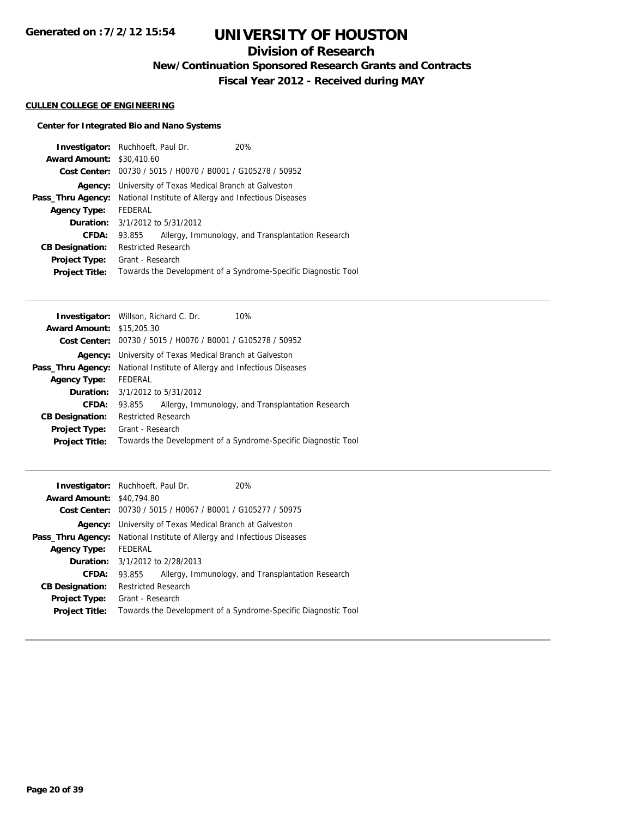# **Division of Research**

**New/Continuation Sponsored Research Grants and Contracts**

**Fiscal Year 2012 - Received during MAY**

### **CULLEN COLLEGE OF ENGINEERING**

### **Center for Integrated Bio and Nano Systems**

| <b>Investigator:</b> Ruchhoeft, Paul Dr. |                                                       |                                                             | 20%                                                            |  |
|------------------------------------------|-------------------------------------------------------|-------------------------------------------------------------|----------------------------------------------------------------|--|
| <b>Award Amount: \$30,410.60</b>         |                                                       |                                                             |                                                                |  |
|                                          |                                                       | Cost Center: 00730 / 5015 / H0070 / B0001 / G105278 / 50952 |                                                                |  |
| Agency:                                  |                                                       | University of Texas Medical Branch at Galveston             |                                                                |  |
| Pass_Thru Agency:                        | National Institute of Allergy and Infectious Diseases |                                                             |                                                                |  |
| <b>Agency Type:</b>                      | FEDERAL                                               |                                                             |                                                                |  |
|                                          | <b>Duration:</b> 3/1/2012 to 5/31/2012                |                                                             |                                                                |  |
| CFDA:                                    | 93.855                                                |                                                             | Allergy, Immunology, and Transplantation Research              |  |
| <b>CB Designation:</b>                   | <b>Restricted Research</b>                            |                                                             |                                                                |  |
| <b>Project Type:</b>                     | Grant - Research                                      |                                                             |                                                                |  |
| <b>Project Title:</b>                    |                                                       |                                                             | Towards the Development of a Syndrome-Specific Diagnostic Tool |  |

|                                  | <b>Investigator:</b> Willson, Richard C. Dr.<br>10%            |  |  |
|----------------------------------|----------------------------------------------------------------|--|--|
| <b>Award Amount: \$15,205.30</b> |                                                                |  |  |
|                                  | Cost Center: 00730 / 5015 / H0070 / B0001 / G105278 / 50952    |  |  |
| Agency:                          | University of Texas Medical Branch at Galveston                |  |  |
| Pass_Thru Agency:                | National Institute of Allergy and Infectious Diseases          |  |  |
| <b>Agency Type:</b>              | FEDERAL                                                        |  |  |
|                                  | <b>Duration:</b> 3/1/2012 to 5/31/2012                         |  |  |
| <b>CFDA:</b>                     | Allergy, Immunology, and Transplantation Research<br>93.855    |  |  |
| <b>CB Designation:</b>           | <b>Restricted Research</b>                                     |  |  |
| <b>Project Type:</b>             | Grant - Research                                               |  |  |
| <b>Project Title:</b>            | Towards the Development of a Syndrome-Specific Diagnostic Tool |  |  |
|                                  |                                                                |  |  |

|                                  | <b>Investigator:</b> Ruchhoeft, Paul Dr.                    | 20%                                                            |  |
|----------------------------------|-------------------------------------------------------------|----------------------------------------------------------------|--|
| <b>Award Amount: \$40,794.80</b> |                                                             |                                                                |  |
|                                  | Cost Center: 00730 / 5015 / H0067 / B0001 / G105277 / 50975 |                                                                |  |
| Agency:                          | University of Texas Medical Branch at Galveston             |                                                                |  |
| Pass_Thru Agency:                | National Institute of Allergy and Infectious Diseases       |                                                                |  |
| <b>Agency Type:</b>              | FEDERAL                                                     |                                                                |  |
|                                  | <b>Duration:</b> 3/1/2012 to 2/28/2013                      |                                                                |  |
| <b>CFDA:</b>                     | 93.855                                                      | Allergy, Immunology, and Transplantation Research              |  |
| <b>CB Designation:</b>           | <b>Restricted Research</b>                                  |                                                                |  |
| <b>Project Type:</b>             | Grant - Research                                            |                                                                |  |
| <b>Project Title:</b>            |                                                             | Towards the Development of a Syndrome-Specific Diagnostic Tool |  |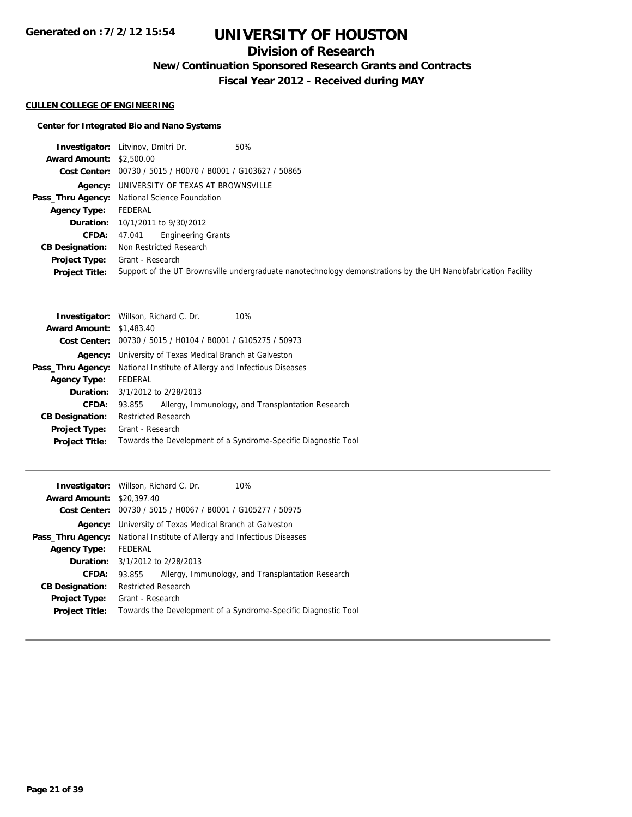## **Division of Research**

**New/Continuation Sponsored Research Grants and Contracts**

**Fiscal Year 2012 - Received during MAY**

#### **CULLEN COLLEGE OF ENGINEERING**

### **Center for Integrated Bio and Nano Systems**

|                                 | <b>Investigator:</b> Litvinov, Dmitri Dr.<br>50%                                                              |
|---------------------------------|---------------------------------------------------------------------------------------------------------------|
| <b>Award Amount: \$2,500.00</b> |                                                                                                               |
|                                 | Cost Center: 00730 / 5015 / H0070 / B0001 / G103627 / 50865                                                   |
|                                 | Agency: UNIVERSITY OF TEXAS AT BROWNSVILLE                                                                    |
|                                 | Pass_Thru Agency: National Science Foundation                                                                 |
| Agency Type:                    | FEDERAL                                                                                                       |
|                                 | <b>Duration:</b> 10/1/2011 to 9/30/2012                                                                       |
| CFDA:                           | <b>Engineering Grants</b><br>47.041                                                                           |
| <b>CB Designation:</b>          | Non Restricted Research                                                                                       |
| <b>Project Type:</b>            | Grant - Research                                                                                              |
| <b>Project Title:</b>           | Support of the UT Brownsville undergraduate nanotechnology demonstrations by the UH Nanobfabrication Facility |

| <b>Investigator:</b> Willson, Richard C. Dr.<br>10%            |  |  |
|----------------------------------------------------------------|--|--|
| <b>Award Amount: \$1,483.40</b>                                |  |  |
| Cost Center: 00730 / 5015 / H0104 / B0001 / G105275 / 50973    |  |  |
| University of Texas Medical Branch at Galveston                |  |  |
| National Institute of Allergy and Infectious Diseases          |  |  |
| FEDERAL                                                        |  |  |
| <b>Duration:</b> 3/1/2012 to 2/28/2013                         |  |  |
| Allergy, Immunology, and Transplantation Research<br>93.855    |  |  |
| <b>Restricted Research</b>                                     |  |  |
| Grant - Research                                               |  |  |
| Towards the Development of a Syndrome-Specific Diagnostic Tool |  |  |
|                                                                |  |  |

|                                  | <b>Investigator:</b> Willson, Richard C. Dr.                | 10%                                                            |  |
|----------------------------------|-------------------------------------------------------------|----------------------------------------------------------------|--|
| <b>Award Amount: \$20,397.40</b> |                                                             |                                                                |  |
|                                  | Cost Center: 00730 / 5015 / H0067 / B0001 / G105277 / 50975 |                                                                |  |
| Agency:                          | University of Texas Medical Branch at Galveston             |                                                                |  |
| Pass_Thru Agency:                | National Institute of Allergy and Infectious Diseases       |                                                                |  |
| <b>Agency Type:</b>              | FEDERAL                                                     |                                                                |  |
|                                  | <b>Duration:</b> 3/1/2012 to 2/28/2013                      |                                                                |  |
| CFDA:                            | 93.855                                                      | Allergy, Immunology, and Transplantation Research              |  |
| <b>CB Designation:</b>           | Restricted Research                                         |                                                                |  |
| <b>Project Type:</b>             | Grant - Research                                            |                                                                |  |
| <b>Project Title:</b>            |                                                             | Towards the Development of a Syndrome-Specific Diagnostic Tool |  |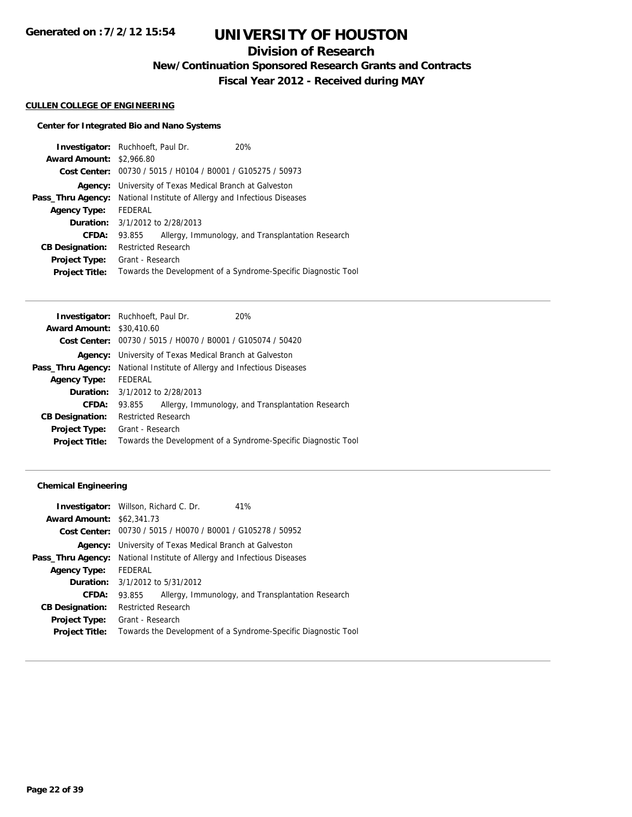## **Division of Research**

**New/Continuation Sponsored Research Grants and Contracts**

**Fiscal Year 2012 - Received during MAY**

#### **CULLEN COLLEGE OF ENGINEERING**

### **Center for Integrated Bio and Nano Systems**

| <b>Investigator:</b> Ruchhoeft, Paul Dr. |                                                       |                                                             | 20%                                                            |  |
|------------------------------------------|-------------------------------------------------------|-------------------------------------------------------------|----------------------------------------------------------------|--|
| <b>Award Amount: \$2,966.80</b>          |                                                       |                                                             |                                                                |  |
|                                          |                                                       | Cost Center: 00730 / 5015 / H0104 / B0001 / G105275 / 50973 |                                                                |  |
| Agency:                                  |                                                       | University of Texas Medical Branch at Galveston             |                                                                |  |
| Pass_Thru Agency:                        | National Institute of Allergy and Infectious Diseases |                                                             |                                                                |  |
| <b>Agency Type:</b>                      | FEDERAL                                               |                                                             |                                                                |  |
|                                          | <b>Duration:</b> 3/1/2012 to 2/28/2013                |                                                             |                                                                |  |
| <b>CFDA:</b>                             | 93.855                                                |                                                             | Allergy, Immunology, and Transplantation Research              |  |
| <b>CB Designation:</b>                   | <b>Restricted Research</b>                            |                                                             |                                                                |  |
| <b>Project Type:</b>                     | Grant - Research                                      |                                                             |                                                                |  |
| <b>Project Title:</b>                    |                                                       |                                                             | Towards the Development of a Syndrome-Specific Diagnostic Tool |  |

|                                  | <b>Investigator:</b> Ruchhoeft, Paul Dr.                                       | 20%                                                            |  |
|----------------------------------|--------------------------------------------------------------------------------|----------------------------------------------------------------|--|
| <b>Award Amount: \$30,410.60</b> |                                                                                |                                                                |  |
|                                  | Cost Center: 00730 / 5015 / H0070 / B0001 / G105074 / 50420                    |                                                                |  |
|                                  | <b>Agency:</b> University of Texas Medical Branch at Galveston                 |                                                                |  |
|                                  | <b>Pass_Thru Agency:</b> National Institute of Allergy and Infectious Diseases |                                                                |  |
| <b>Agency Type:</b>              | FEDERAL                                                                        |                                                                |  |
|                                  | <b>Duration:</b> $3/1/2012$ to $2/28/2013$                                     |                                                                |  |
| <b>CFDA:</b>                     | 93.855                                                                         | Allergy, Immunology, and Transplantation Research              |  |
| <b>CB Designation:</b>           | <b>Restricted Research</b>                                                     |                                                                |  |
| Project Type:                    | Grant - Research                                                               |                                                                |  |
| <b>Project Title:</b>            |                                                                                | Towards the Development of a Syndrome-Specific Diagnostic Tool |  |
|                                  |                                                                                |                                                                |  |

| <b>Investigator:</b> Willson, Richard C. Dr. |                                                                |  | 41%                                                            |
|----------------------------------------------|----------------------------------------------------------------|--|----------------------------------------------------------------|
| <b>Award Amount: \$62,341.73</b>             |                                                                |  |                                                                |
|                                              |                                                                |  | Cost Center: 00730 / 5015 / H0070 / B0001 / G105278 / 50952    |
|                                              | <b>Agency:</b> University of Texas Medical Branch at Galveston |  |                                                                |
| Pass_Thru Agency:                            | National Institute of Allergy and Infectious Diseases          |  |                                                                |
| <b>Agency Type:</b>                          | FEDERAL                                                        |  |                                                                |
|                                              | <b>Duration:</b> 3/1/2012 to 5/31/2012                         |  |                                                                |
| CFDA:                                        | 93.855                                                         |  | Allergy, Immunology, and Transplantation Research              |
| <b>CB Designation:</b>                       | <b>Restricted Research</b>                                     |  |                                                                |
| <b>Project Type:</b>                         | Grant - Research                                               |  |                                                                |
| <b>Project Title:</b>                        |                                                                |  | Towards the Development of a Syndrome-Specific Diagnostic Tool |
|                                              |                                                                |  |                                                                |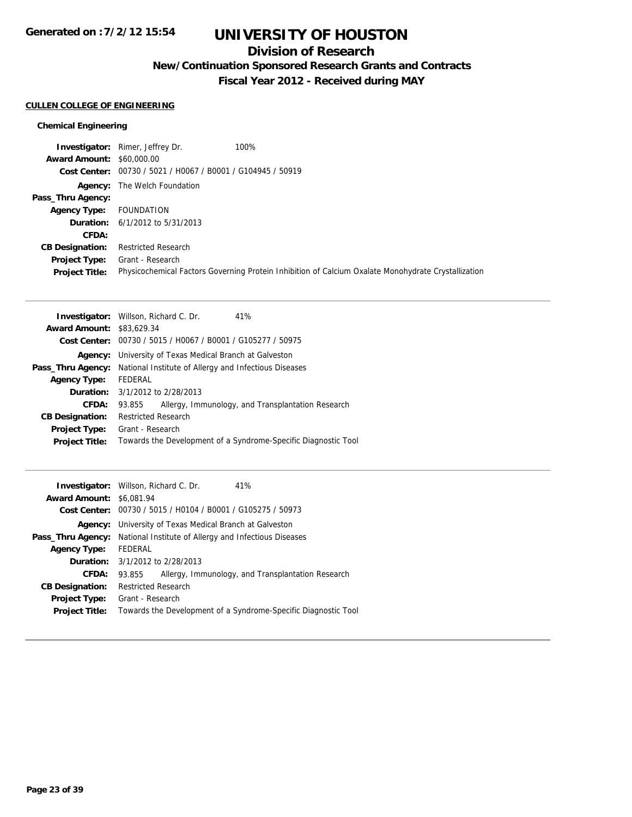## **Division of Research**

**New/Continuation Sponsored Research Grants and Contracts**

**Fiscal Year 2012 - Received during MAY**

#### **CULLEN COLLEGE OF ENGINEERING**

|                                  | <b>Investigator:</b> Rimer, Jeffrey Dr.                     | 100%                                                                                                |
|----------------------------------|-------------------------------------------------------------|-----------------------------------------------------------------------------------------------------|
| <b>Award Amount: \$60,000.00</b> |                                                             |                                                                                                     |
|                                  | Cost Center: 00730 / 5021 / H0067 / B0001 / G104945 / 50919 |                                                                                                     |
|                                  | <b>Agency:</b> The Welch Foundation                         |                                                                                                     |
| Pass_Thru Agency:                |                                                             |                                                                                                     |
| <b>Agency Type:</b>              | FOUNDATION                                                  |                                                                                                     |
|                                  | <b>Duration:</b> $6/1/2012$ to $5/31/2013$                  |                                                                                                     |
| CFDA:                            |                                                             |                                                                                                     |
| <b>CB Designation:</b>           | <b>Restricted Research</b>                                  |                                                                                                     |
| <b>Project Type:</b>             | Grant - Research                                            |                                                                                                     |
| <b>Project Title:</b>            |                                                             | Physicochemical Factors Governing Protein Inhibition of Calcium Oxalate Monohydrate Crystallization |

|                                  | <b>Investigator:</b> Willson, Richard C. Dr.<br>41%            |  |  |
|----------------------------------|----------------------------------------------------------------|--|--|
| <b>Award Amount: \$83,629.34</b> |                                                                |  |  |
|                                  | Cost Center: 00730 / 5015 / H0067 / B0001 / G105277 / 50975    |  |  |
| Agency:                          | University of Texas Medical Branch at Galveston                |  |  |
| Pass_Thru Agency:                | National Institute of Allergy and Infectious Diseases          |  |  |
| <b>Agency Type:</b>              | FEDERAL                                                        |  |  |
|                                  | <b>Duration:</b> $3/1/2012$ to $2/28/2013$                     |  |  |
| CFDA:                            | Allergy, Immunology, and Transplantation Research<br>93.855    |  |  |
| <b>CB Designation:</b>           | <b>Restricted Research</b>                                     |  |  |
| <b>Project Type:</b>             | Grant - Research                                               |  |  |
| <b>Project Title:</b>            | Towards the Development of a Syndrome-Specific Diagnostic Tool |  |  |
|                                  |                                                                |  |  |

|                                 | <b>Investigator:</b> Willson, Richard C. Dr.                | 41%                                                            |  |
|---------------------------------|-------------------------------------------------------------|----------------------------------------------------------------|--|
| <b>Award Amount: \$6,081.94</b> |                                                             |                                                                |  |
|                                 | Cost Center: 00730 / 5015 / H0104 / B0001 / G105275 / 50973 |                                                                |  |
| Agency:                         | University of Texas Medical Branch at Galveston             |                                                                |  |
| Pass_Thru Agency:               | National Institute of Allergy and Infectious Diseases       |                                                                |  |
| <b>Agency Type:</b>             | FEDERAL                                                     |                                                                |  |
|                                 | <b>Duration:</b> 3/1/2012 to 2/28/2013                      |                                                                |  |
| <b>CFDA:</b>                    | 93.855                                                      | Allergy, Immunology, and Transplantation Research              |  |
| <b>CB Designation:</b>          | <b>Restricted Research</b>                                  |                                                                |  |
| Project Type:                   | Grant - Research                                            |                                                                |  |
| <b>Project Title:</b>           |                                                             | Towards the Development of a Syndrome-Specific Diagnostic Tool |  |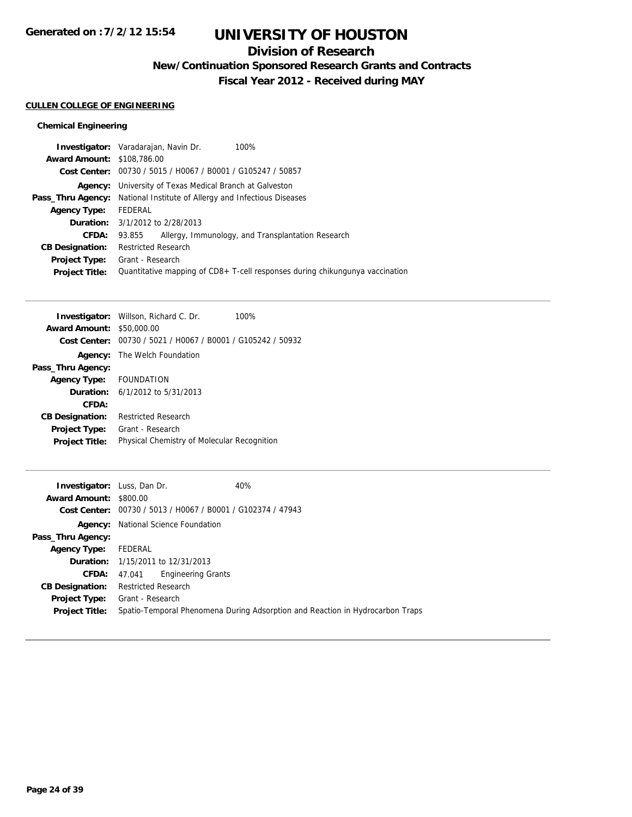## **Division of Research**

**New/Continuation Sponsored Research Grants and Contracts**

**Fiscal Year 2012 - Received during MAY**

### **CULLEN COLLEGE OF ENGINEERING**

|                                   | <b>Investigator:</b> Varadarajan, Navin Dr.                                    | 100%                                                                             |
|-----------------------------------|--------------------------------------------------------------------------------|----------------------------------------------------------------------------------|
| <b>Award Amount: \$108,786.00</b> |                                                                                |                                                                                  |
|                                   | Cost Center: 00730 / 5015 / H0067 / B0001 / G105247 / 50857                    |                                                                                  |
|                                   | <b>Agency:</b> University of Texas Medical Branch at Galveston                 |                                                                                  |
|                                   | <b>Pass_Thru Agency:</b> National Institute of Allergy and Infectious Diseases |                                                                                  |
| <b>Agency Type:</b>               | FEDERAL                                                                        |                                                                                  |
|                                   | <b>Duration:</b> $3/1/2012$ to $2/28/2013$                                     |                                                                                  |
| CFDA:                             | 93.855                                                                         | Allergy, Immunology, and Transplantation Research                                |
| <b>CB Designation:</b>            | <b>Restricted Research</b>                                                     |                                                                                  |
| <b>Project Type:</b>              | Grant - Research                                                               |                                                                                  |
| <b>Project Title:</b>             |                                                                                | Quantitative mapping of $CD8 + T$ -cell responses during chikungunya vaccination |
|                                   |                                                                                |                                                                                  |

|                                            | Investigator: Willson, Richard C. Dr.<br>100%               |  |
|--------------------------------------------|-------------------------------------------------------------|--|
| <b>Award Amount:</b>                       | \$50,000.00                                                 |  |
|                                            | Cost Center: 00730 / 5021 / H0067 / B0001 / G105242 / 50932 |  |
|                                            | <b>Agency:</b> The Welch Foundation                         |  |
| Pass_Thru Agency:                          |                                                             |  |
| Agency Type: FOUNDATION                    |                                                             |  |
| <b>Duration:</b> $6/1/2012$ to $5/31/2013$ |                                                             |  |
| CFDA:                                      |                                                             |  |
| <b>CB Designation:</b>                     | <b>Restricted Research</b>                                  |  |
| <b>Project Type:</b>                       | Grant - Research                                            |  |
| <b>Project Title:</b>                      | Physical Chemistry of Molecular Recognition                 |  |
|                                            |                                                             |  |

| <b>Investigator:</b> Luss, Dan Dr. |                                                             | 40%                                                                           |
|------------------------------------|-------------------------------------------------------------|-------------------------------------------------------------------------------|
| <b>Award Amount: \$800.00</b>      |                                                             |                                                                               |
|                                    | Cost Center: 00730 / 5013 / H0067 / B0001 / G102374 / 47943 |                                                                               |
| Agency:                            | National Science Foundation                                 |                                                                               |
| Pass_Thru Agency:                  |                                                             |                                                                               |
| <b>Agency Type:</b>                | FEDERAL                                                     |                                                                               |
|                                    | <b>Duration:</b> 1/15/2011 to 12/31/2013                    |                                                                               |
|                                    | <b>Engineering Grants</b><br>CFDA: 47.041                   |                                                                               |
| <b>CB Designation:</b>             | <b>Restricted Research</b>                                  |                                                                               |
| <b>Project Type:</b>               | Grant - Research                                            |                                                                               |
| <b>Project Title:</b>              |                                                             | Spatio-Temporal Phenomena During Adsorption and Reaction in Hydrocarbon Traps |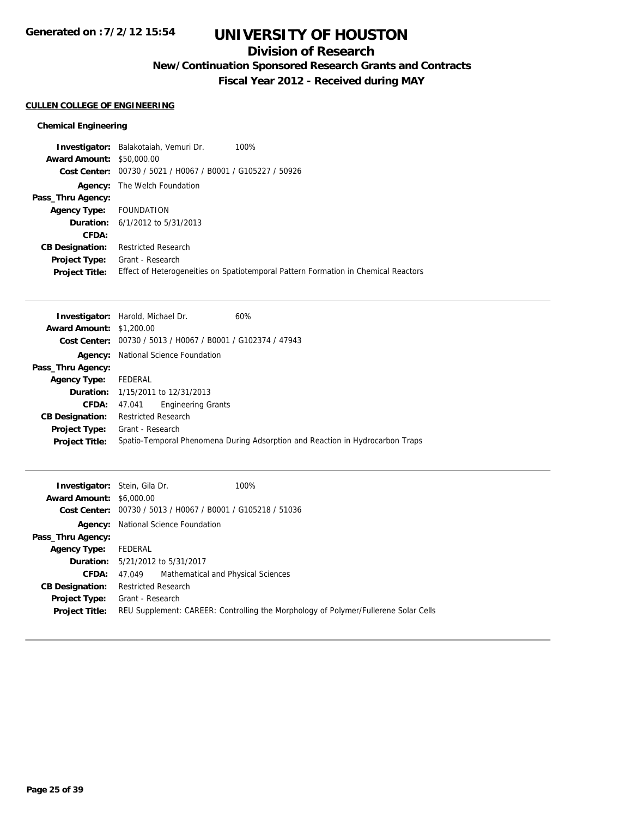## **Division of Research**

**New/Continuation Sponsored Research Grants and Contracts**

**Fiscal Year 2012 - Received during MAY**

### **CULLEN COLLEGE OF ENGINEERING**

| 100%<br>Investigator: Balakotaiah, Vemuri Dr.                                      |
|------------------------------------------------------------------------------------|
| <b>Award Amount: \$50,000.00</b>                                                   |
| Cost Center: 00730 / 5021 / H0067 / B0001 / G105227 / 50926                        |
| <b>Agency:</b> The Welch Foundation                                                |
|                                                                                    |
| FOUNDATION                                                                         |
| <b>Duration:</b> $6/1/2012$ to $5/31/2013$                                         |
|                                                                                    |
| <b>Restricted Research</b>                                                         |
| Grant - Research                                                                   |
| Effect of Heterogeneities on Spatiotemporal Pattern Formation in Chemical Reactors |
|                                                                                    |

|                                 | <b>Investigator:</b> Harold, Michael Dr.<br>60%                               |
|---------------------------------|-------------------------------------------------------------------------------|
| <b>Award Amount: \$1,200.00</b> |                                                                               |
|                                 | Cost Center: 00730 / 5013 / H0067 / B0001 / G102374 / 47943                   |
|                                 | <b>Agency:</b> National Science Foundation                                    |
| Pass_Thru Agency:               |                                                                               |
| <b>Agency Type:</b>             | FEDERAL                                                                       |
|                                 | <b>Duration:</b> 1/15/2011 to 12/31/2013                                      |
| CFDA:                           | <b>Engineering Grants</b><br>47.041                                           |
| <b>CB Designation:</b>          | <b>Restricted Research</b>                                                    |
| <b>Project Type:</b>            | Grant - Research                                                              |
| <b>Project Title:</b>           | Spatio-Temporal Phenomena During Adsorption and Reaction in Hydrocarbon Traps |
|                                 |                                                                               |

| <b>Investigator:</b> Stein, Gila Dr.<br><b>Award Amount: \$6,000.00</b> | 100%<br>Cost Center: 00730 / 5013 / H0067 / B0001 / G105218 / 51036                                     |
|-------------------------------------------------------------------------|---------------------------------------------------------------------------------------------------------|
|                                                                         | <b>Agency:</b> National Science Foundation                                                              |
| Pass_Thru Agency:                                                       |                                                                                                         |
| <b>Agency Type:</b>                                                     | FEDERAL                                                                                                 |
|                                                                         | <b>Duration:</b> 5/21/2012 to 5/31/2017                                                                 |
| <b>CFDA:</b>                                                            | 47.049 Mathematical and Physical Sciences                                                               |
| <b>CB Designation:</b>                                                  | <b>Restricted Research</b>                                                                              |
| <b>Project Type:</b><br><b>Project Title:</b>                           | Grant - Research<br>REU Supplement: CAREER: Controlling the Morphology of Polymer/Fullerene Solar Cells |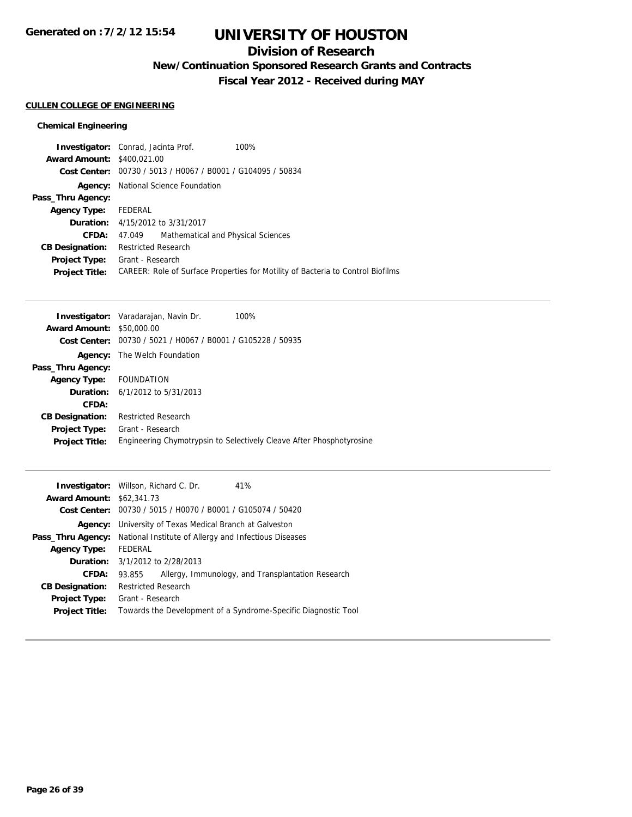## **Division of Research**

**New/Continuation Sponsored Research Grants and Contracts**

**Fiscal Year 2012 - Received during MAY**

#### **CULLEN COLLEGE OF ENGINEERING**

| <b>Investigator:</b> Conrad, Jacinta Prof.<br>100%                              |  |
|---------------------------------------------------------------------------------|--|
| <b>Award Amount: \$400.021.00</b>                                               |  |
| Cost Center: 00730 / 5013 / H0067 / B0001 / G104095 / 50834                     |  |
| <b>Agency:</b> National Science Foundation                                      |  |
|                                                                                 |  |
| Agency Type: FEDERAL                                                            |  |
| <b>Duration:</b> 4/15/2012 to 3/31/2017                                         |  |
| Mathematical and Physical Sciences<br>47.049                                    |  |
| <b>Restricted Research</b>                                                      |  |
| Grant - Research                                                                |  |
| CAREER: Role of Surface Properties for Motility of Bacteria to Control Biofilms |  |
|                                                                                 |  |

|                                                             | 100%                                                                                                                                                            |
|-------------------------------------------------------------|-----------------------------------------------------------------------------------------------------------------------------------------------------------------|
|                                                             |                                                                                                                                                                 |
| Cost Center: 00730 / 5021 / H0067 / B0001 / G105228 / 50935 |                                                                                                                                                                 |
| The Welch Foundation                                        |                                                                                                                                                                 |
|                                                             |                                                                                                                                                                 |
|                                                             |                                                                                                                                                                 |
|                                                             |                                                                                                                                                                 |
|                                                             |                                                                                                                                                                 |
| <b>Restricted Research</b>                                  |                                                                                                                                                                 |
|                                                             |                                                                                                                                                                 |
|                                                             | Engineering Chymotrypsin to Selectively Cleave After Phosphotyrosine                                                                                            |
|                                                             | <b>Investigator:</b> Varadarajan, Navin Dr.<br><b>Award Amount: \$50,000.00</b><br>FOUNDATION<br><b>Duration:</b> $6/1/2012$ to $5/31/2013$<br>Grant - Research |

|                                  | <b>Investigator:</b> Willson, Richard C. Dr.                |  | 41%                                                            |
|----------------------------------|-------------------------------------------------------------|--|----------------------------------------------------------------|
| <b>Award Amount: \$62,341.73</b> |                                                             |  |                                                                |
|                                  | Cost Center: 00730 / 5015 / H0070 / B0001 / G105074 / 50420 |  |                                                                |
| Agency:                          | University of Texas Medical Branch at Galveston             |  |                                                                |
| Pass_Thru Agency:                | National Institute of Allergy and Infectious Diseases       |  |                                                                |
| <b>Agency Type:</b>              | FEDERAL                                                     |  |                                                                |
|                                  | <b>Duration:</b> 3/1/2012 to 2/28/2013                      |  |                                                                |
| CFDA:                            | 93.855                                                      |  | Allergy, Immunology, and Transplantation Research              |
| <b>CB Designation:</b>           | <b>Restricted Research</b>                                  |  |                                                                |
| <b>Project Type:</b>             | Grant - Research                                            |  |                                                                |
| <b>Project Title:</b>            |                                                             |  | Towards the Development of a Syndrome-Specific Diagnostic Tool |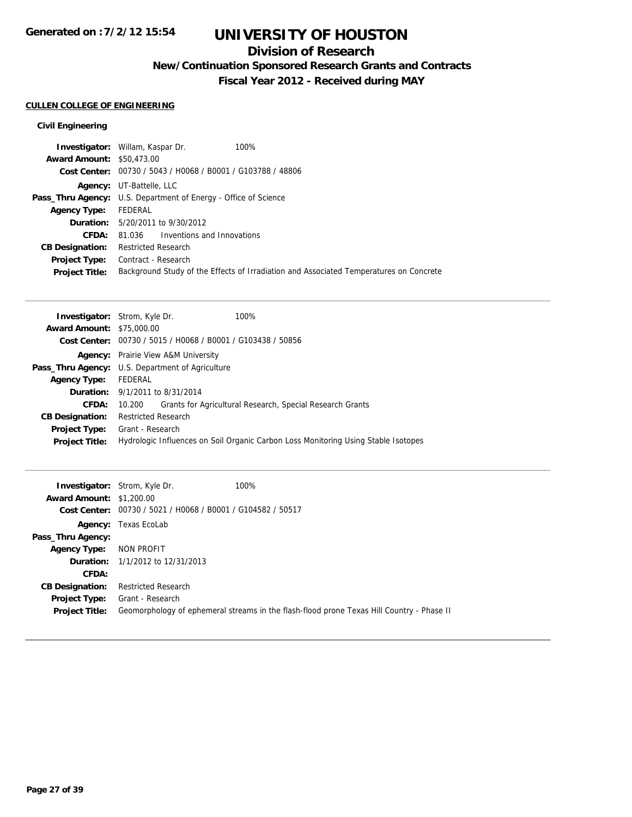## **Division of Research**

**New/Continuation Sponsored Research Grants and Contracts**

**Fiscal Year 2012 - Received during MAY**

## **CULLEN COLLEGE OF ENGINEERING**

### **Civil Engineering**

|                                  | 100%<br><b>Investigator:</b> Willam, Kaspar Dr.                                        |
|----------------------------------|----------------------------------------------------------------------------------------|
| <b>Award Amount: \$50,473,00</b> |                                                                                        |
|                                  | Cost Center: 00730 / 5043 / H0068 / B0001 / G103788 / 48806                            |
|                                  | <b>Agency:</b> UT-Battelle, LLC                                                        |
|                                  | <b>Pass_Thru Agency:</b> U.S. Department of Energy - Office of Science                 |
| <b>Agency Type:</b>              | FEDERAL                                                                                |
|                                  | <b>Duration:</b> 5/20/2011 to 9/30/2012                                                |
| CFDA:                            | 81.036 Inventions and Innovations                                                      |
| <b>CB Designation:</b>           | <b>Restricted Research</b>                                                             |
| Project Type:                    | Contract - Research                                                                    |
| <b>Project Title:</b>            | Background Study of the Effects of Irradiation and Associated Temperatures on Concrete |

|                                  | <b>Investigator:</b> Strom, Kyle Dr.                                 | 100%                                                                               |
|----------------------------------|----------------------------------------------------------------------|------------------------------------------------------------------------------------|
| <b>Award Amount: \$75,000.00</b> |                                                                      |                                                                                    |
|                                  | <b>Cost Center:</b> $00730 / 5015 / 10068 / 80001 / 6103438 / 50856$ |                                                                                    |
|                                  | <b>Agency:</b> Prairie View A&M University                           |                                                                                    |
|                                  | <b>Pass_Thru Agency:</b> U.S. Department of Agriculture              |                                                                                    |
| <b>Agency Type:</b>              | FEDERAL                                                              |                                                                                    |
|                                  | <b>Duration:</b> 9/1/2011 to 8/31/2014                               |                                                                                    |
| CFDA:                            | 10.200                                                               | Grants for Agricultural Research, Special Research Grants                          |
| <b>CB Designation:</b>           | <b>Restricted Research</b>                                           |                                                                                    |
| Project Type:                    | Grant - Research                                                     |                                                                                    |
| <b>Project Title:</b>            |                                                                      | Hydrologic Influences on Soil Organic Carbon Loss Monitoring Using Stable Isotopes |

|                                 | <b>Investigator:</b> Strom, Kyle Dr.                        | 100%                                                                                      |
|---------------------------------|-------------------------------------------------------------|-------------------------------------------------------------------------------------------|
| <b>Award Amount: \$1,200.00</b> |                                                             |                                                                                           |
|                                 | Cost Center: 00730 / 5021 / H0068 / B0001 / G104582 / 50517 |                                                                                           |
|                                 | <b>Agency:</b> Texas EcoLab                                 |                                                                                           |
| Pass_Thru Agency:               |                                                             |                                                                                           |
| <b>Agency Type:</b>             | NON PROFIT                                                  |                                                                                           |
|                                 | <b>Duration:</b> 1/1/2012 to 12/31/2013                     |                                                                                           |
| CFDA:                           |                                                             |                                                                                           |
| <b>CB Designation:</b>          | <b>Restricted Research</b>                                  |                                                                                           |
| <b>Project Type:</b>            | Grant - Research                                            |                                                                                           |
| <b>Project Title:</b>           |                                                             | Geomorphology of ephemeral streams in the flash-flood prone Texas Hill Country - Phase II |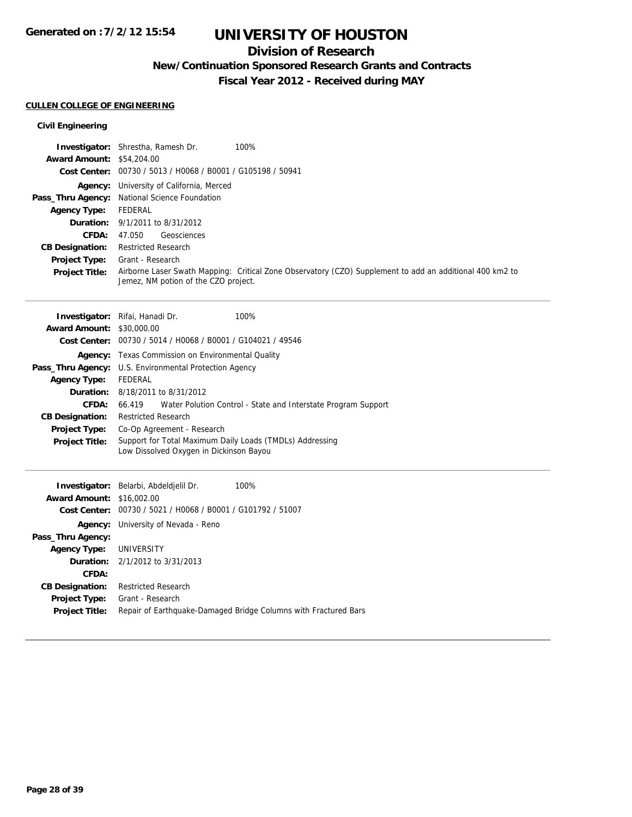## **Division of Research**

**New/Continuation Sponsored Research Grants and Contracts**

**Fiscal Year 2012 - Received during MAY**

### **CULLEN COLLEGE OF ENGINEERING**

### **Civil Engineering**

|                                  | 100%<br><b>Investigator:</b> Shrestha, Ramesh Dr.                                                                                                |
|----------------------------------|--------------------------------------------------------------------------------------------------------------------------------------------------|
| <b>Award Amount: \$54,204.00</b> |                                                                                                                                                  |
|                                  | Cost Center: 00730 / 5013 / H0068 / B0001 / G105198 / 50941                                                                                      |
|                                  | Agency: University of California, Merced                                                                                                         |
|                                  | Pass_Thru Agency: National Science Foundation                                                                                                    |
| Agency Type:                     | FEDERAL                                                                                                                                          |
|                                  | <b>Duration:</b> 9/1/2011 to 8/31/2012                                                                                                           |
| CFDA:                            | Geosciences<br>47.050                                                                                                                            |
| <b>CB Designation:</b>           | <b>Restricted Research</b>                                                                                                                       |
| <b>Project Type:</b>             | Grant - Research                                                                                                                                 |
| <b>Project Title:</b>            | Airborne Laser Swath Mapping: Critical Zone Observatory (CZO) Supplement to add an additional 400 km2 to<br>Jemez, NM potion of the CZO project. |

|                                  | Investigator: Rifai, Hanadi Dr.                                                                     | 100%                                                          |
|----------------------------------|-----------------------------------------------------------------------------------------------------|---------------------------------------------------------------|
| <b>Award Amount: \$30,000.00</b> |                                                                                                     |                                                               |
|                                  | Cost Center: 00730 / 5014 / H0068 / B0001 / G104021 / 49546                                         |                                                               |
| Agency:                          | Texas Commission on Environmental Quality                                                           |                                                               |
| Pass_Thru Agency:                | U.S. Environmental Protection Agency                                                                |                                                               |
| <b>Agency Type:</b>              | FEDERAL                                                                                             |                                                               |
| Duration:                        | 8/18/2011 to 8/31/2012                                                                              |                                                               |
| CFDA:                            | 66.419                                                                                              | Water Polution Control - State and Interstate Program Support |
| <b>CB Designation:</b>           | <b>Restricted Research</b>                                                                          |                                                               |
| <b>Project Type:</b>             | Co-Op Agreement - Research                                                                          |                                                               |
| <b>Project Title:</b>            | Support for Total Maximum Daily Loads (TMDLs) Addressing<br>Low Dissolved Oxygen in Dickinson Bayou |                                                               |

|                                  | Investigator: Belarbi, Abdeldjelil Dr.         | 100%                                                            |
|----------------------------------|------------------------------------------------|-----------------------------------------------------------------|
| <b>Award Amount: \$16,002.00</b> |                                                |                                                                 |
| Cost Center:                     | 00730 / 5021 / H0068 / B0001 / G101792 / 51007 |                                                                 |
| Agency:                          | University of Nevada - Reno                    |                                                                 |
| Pass_Thru Agency:                |                                                |                                                                 |
| <b>Agency Type: UNIVERSITY</b>   |                                                |                                                                 |
|                                  | <b>Duration:</b> 2/1/2012 to 3/31/2013         |                                                                 |
| CFDA:                            |                                                |                                                                 |
| <b>CB Designation:</b>           | <b>Restricted Research</b>                     |                                                                 |
| <b>Project Type:</b>             | Grant - Research                               |                                                                 |
| <b>Project Title:</b>            |                                                | Repair of Earthquake-Damaged Bridge Columns with Fractured Bars |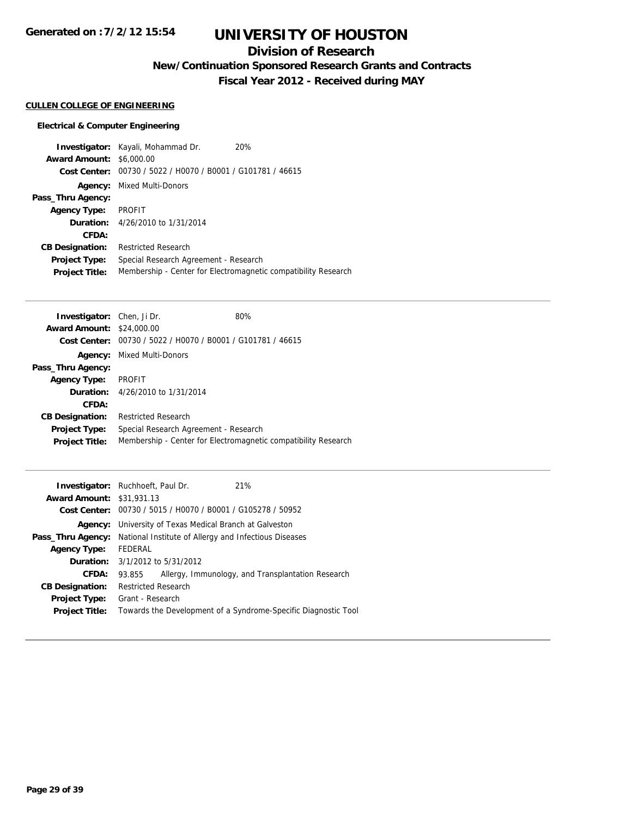# **UNIVERSITY OF HOUSTON**

## **Division of Research**

**New/Continuation Sponsored Research Grants and Contracts**

**Fiscal Year 2012 - Received during MAY**

### **CULLEN COLLEGE OF ENGINEERING**

|                                 | <b>Investigator:</b> Kayali, Mohammad Dr.      | 20%                                                            |
|---------------------------------|------------------------------------------------|----------------------------------------------------------------|
| <b>Award Amount: \$6,000.00</b> |                                                |                                                                |
| Cost Center:                    | 00730 / 5022 / H0070 / B0001 / G101781 / 46615 |                                                                |
|                                 | <b>Agency:</b> Mixed Multi-Donors              |                                                                |
| Pass_Thru Agency:               |                                                |                                                                |
| <b>Agency Type:</b>             | PROFIT                                         |                                                                |
|                                 | <b>Duration:</b> 4/26/2010 to 1/31/2014        |                                                                |
| CFDA:                           |                                                |                                                                |
| <b>CB Designation:</b>          | <b>Restricted Research</b>                     |                                                                |
| <b>Project Type:</b>            | Special Research Agreement - Research          |                                                                |
| <b>Project Title:</b>           |                                                | Membership - Center for Electromagnetic compatibility Research |

| <b>Investigator:</b> Chen, Ji Dr.                           | 80%                                                            |
|-------------------------------------------------------------|----------------------------------------------------------------|
| <b>Award Amount: \$24,000.00</b>                            |                                                                |
| Cost Center: 00730 / 5022 / H0070 / B0001 / G101781 / 46615 |                                                                |
| <b>Agency:</b> Mixed Multi-Donors                           |                                                                |
|                                                             |                                                                |
| PROFIT                                                      |                                                                |
| <b>Duration:</b> 4/26/2010 to 1/31/2014                     |                                                                |
|                                                             |                                                                |
| <b>Restricted Research</b>                                  |                                                                |
| Special Research Agreement - Research                       |                                                                |
|                                                             | Membership - Center for Electromagnetic compatibility Research |
|                                                             |                                                                |

|                                  | <b>Investigator:</b> Ruchhoeft, Paul Dr.              |  | 21%                                                            |
|----------------------------------|-------------------------------------------------------|--|----------------------------------------------------------------|
| <b>Award Amount: \$31,931.13</b> |                                                       |  |                                                                |
|                                  |                                                       |  | Cost Center: 00730 / 5015 / H0070 / B0001 / G105278 / 50952    |
| Agency:                          | University of Texas Medical Branch at Galveston       |  |                                                                |
| Pass_Thru Agency:                | National Institute of Allergy and Infectious Diseases |  |                                                                |
| <b>Agency Type:</b>              | FEDERAL                                               |  |                                                                |
|                                  | <b>Duration:</b> 3/1/2012 to 5/31/2012                |  |                                                                |
| CFDA:                            | 93.855                                                |  | Allergy, Immunology, and Transplantation Research              |
| <b>CB Designation:</b>           | <b>Restricted Research</b>                            |  |                                                                |
| <b>Project Type:</b>             | Grant - Research                                      |  |                                                                |
| <b>Project Title:</b>            |                                                       |  | Towards the Development of a Syndrome-Specific Diagnostic Tool |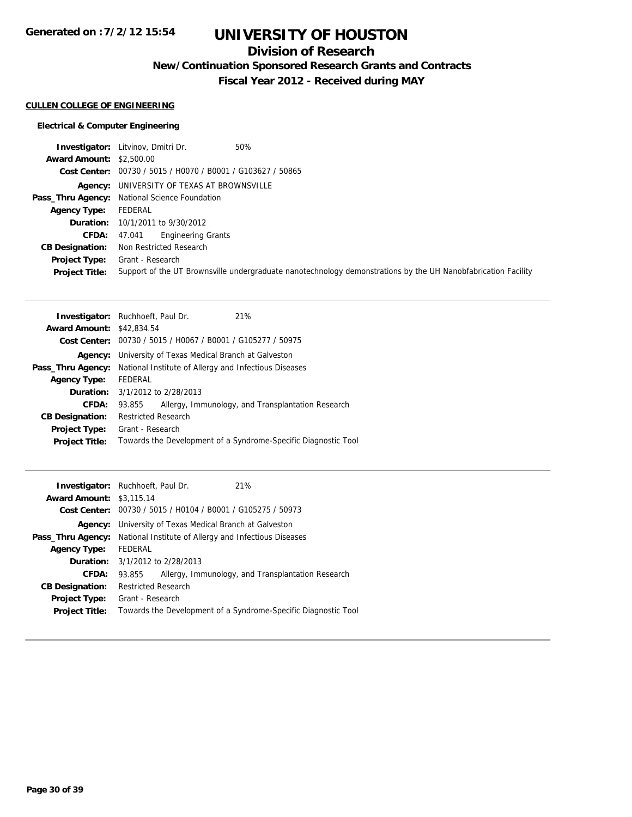## **Division of Research**

**New/Continuation Sponsored Research Grants and Contracts**

**Fiscal Year 2012 - Received during MAY**

#### **CULLEN COLLEGE OF ENGINEERING**

|                                 | <b>Investigator:</b> Litvinov, Dmitri Dr.<br>50%                                                              |
|---------------------------------|---------------------------------------------------------------------------------------------------------------|
| <b>Award Amount: \$2,500.00</b> |                                                                                                               |
|                                 | Cost Center: 00730 / 5015 / H0070 / B0001 / G103627 / 50865                                                   |
|                                 | Agency: UNIVERSITY OF TEXAS AT BROWNSVILLE                                                                    |
|                                 | Pass_Thru Agency: National Science Foundation                                                                 |
| <b>Agency Type:</b>             | FEDERAL                                                                                                       |
|                                 | <b>Duration:</b> 10/1/2011 to 9/30/2012                                                                       |
| <b>CFDA:</b>                    | <b>Engineering Grants</b><br>47.041                                                                           |
| <b>CB Designation:</b>          | Non Restricted Research                                                                                       |
| Project Type:                   | Grant - Research                                                                                              |
| <b>Project Title:</b>           | Support of the UT Brownsville undergraduate nanotechnology demonstrations by the UH Nanobfabrication Facility |

| <b>Investigator:</b> Ruchhoeft, Paul Dr.                    | 21%                                                            |  |
|-------------------------------------------------------------|----------------------------------------------------------------|--|
| <b>Award Amount: \$42,834.54</b>                            |                                                                |  |
| Cost Center: 00730 / 5015 / H0067 / B0001 / G105277 / 50975 |                                                                |  |
| University of Texas Medical Branch at Galveston             |                                                                |  |
| National Institute of Allergy and Infectious Diseases       |                                                                |  |
| FEDERAL                                                     |                                                                |  |
| <b>Duration:</b> 3/1/2012 to 2/28/2013                      |                                                                |  |
| 93.855                                                      | Allergy, Immunology, and Transplantation Research              |  |
| <b>Restricted Research</b>                                  |                                                                |  |
| Grant - Research                                            |                                                                |  |
|                                                             | Towards the Development of a Syndrome-Specific Diagnostic Tool |  |
|                                                             |                                                                |  |

| <b>Award Amount: \$3,115.14</b><br>Cost Center: | <b>Investigator:</b> Ruchhoeft, Paul Dr.<br>21%<br>00730 / 5015 / H0104 / B0001 / G105275 / 50973 |
|-------------------------------------------------|---------------------------------------------------------------------------------------------------|
| Agency:                                         | University of Texas Medical Branch at Galveston                                                   |
| Pass_Thru Agency:                               | National Institute of Allergy and Infectious Diseases                                             |
| <b>Agency Type:</b>                             | FEDERAL                                                                                           |
|                                                 | <b>Duration:</b> $3/1/2012$ to $2/28/2013$                                                        |
| <b>CFDA:</b>                                    | Allergy, Immunology, and Transplantation Research<br>93.855                                       |
| <b>CB Designation:</b>                          | <b>Restricted Research</b>                                                                        |
| <b>Project Type:</b><br><b>Project Title:</b>   | Grant - Research<br>Towards the Development of a Syndrome-Specific Diagnostic Tool                |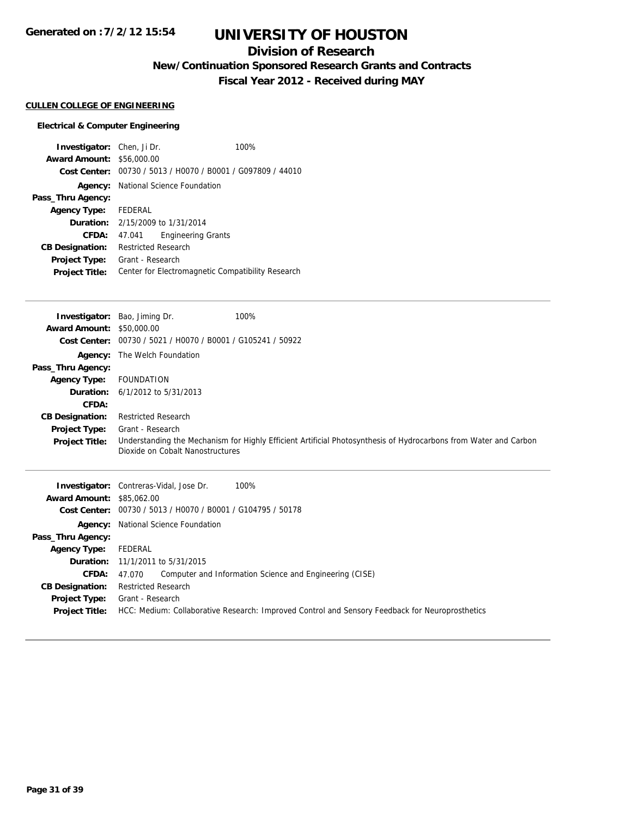# **UNIVERSITY OF HOUSTON**

## **Division of Research**

**New/Continuation Sponsored Research Grants and Contracts**

**Fiscal Year 2012 - Received during MAY**

### **CULLEN COLLEGE OF ENGINEERING**

| <b>Investigator:</b> Chen, Ji Dr. |                                            |                                                             | 100% |
|-----------------------------------|--------------------------------------------|-------------------------------------------------------------|------|
| <b>Award Amount: \$56,000.00</b>  |                                            |                                                             |      |
|                                   |                                            | Cost Center: 00730 / 5013 / H0070 / B0001 / G097809 / 44010 |      |
|                                   | <b>Agency:</b> National Science Foundation |                                                             |      |
| Pass_Thru Agency:                 |                                            |                                                             |      |
| <b>Agency Type:</b>               | FEDERAL                                    |                                                             |      |
|                                   |                                            | <b>Duration:</b> 2/15/2009 to 1/31/2014                     |      |
| CFDA:                             | 47.041                                     | Engineering Grants                                          |      |
| <b>CB Designation:</b>            | <b>Restricted Research</b>                 |                                                             |      |
| <b>Project Type:</b>              | Grant - Research                           |                                                             |      |
| <b>Project Title:</b>             |                                            | Center for Electromagnetic Compatibility Research           |      |

| Investigator:                    | Bao, Jiming Dr.                                             | 100%                                                                                                             |
|----------------------------------|-------------------------------------------------------------|------------------------------------------------------------------------------------------------------------------|
| <b>Award Amount: \$50,000.00</b> |                                                             |                                                                                                                  |
|                                  | Cost Center: 00730 / 5021 / H0070 / B0001 / G105241 / 50922 |                                                                                                                  |
| Agency:                          | The Welch Foundation                                        |                                                                                                                  |
| Pass_Thru Agency:                |                                                             |                                                                                                                  |
| <b>Agency Type:</b>              | FOUNDATION                                                  |                                                                                                                  |
|                                  | <b>Duration:</b> $6/1/2012$ to $5/31/2013$                  |                                                                                                                  |
| CFDA:                            |                                                             |                                                                                                                  |
| <b>CB Designation:</b>           | <b>Restricted Research</b>                                  |                                                                                                                  |
| Project Type:                    | Grant - Research                                            |                                                                                                                  |
| <b>Project Title:</b>            | Dioxide on Cobalt Nanostructures                            | Understanding the Mechanism for Highly Efficient Artificial Photosynthesis of Hydrocarbons from Water and Carbon |
|                                  |                                                             |                                                                                                                  |

|                                  | <b>Investigator:</b> Contreras-Vidal, Jose Dr.<br>100%                                          |
|----------------------------------|-------------------------------------------------------------------------------------------------|
| <b>Award Amount: \$85,062.00</b> |                                                                                                 |
|                                  | Cost Center: 00730 / 5013 / H0070 / B0001 / G104795 / 50178                                     |
|                                  | <b>Agency:</b> National Science Foundation                                                      |
| Pass_Thru Agency:                |                                                                                                 |
| <b>Agency Type:</b>              | FEDERAL                                                                                         |
|                                  | <b>Duration:</b> 11/1/2011 to 5/31/2015                                                         |
| <b>CFDA:</b>                     | Computer and Information Science and Engineering (CISE)<br>47.070                               |
| <b>CB Designation:</b>           | <b>Restricted Research</b>                                                                      |
| Project Type:                    | Grant - Research                                                                                |
| <b>Project Title:</b>            | HCC: Medium: Collaborative Research: Improved Control and Sensory Feedback for Neuroprosthetics |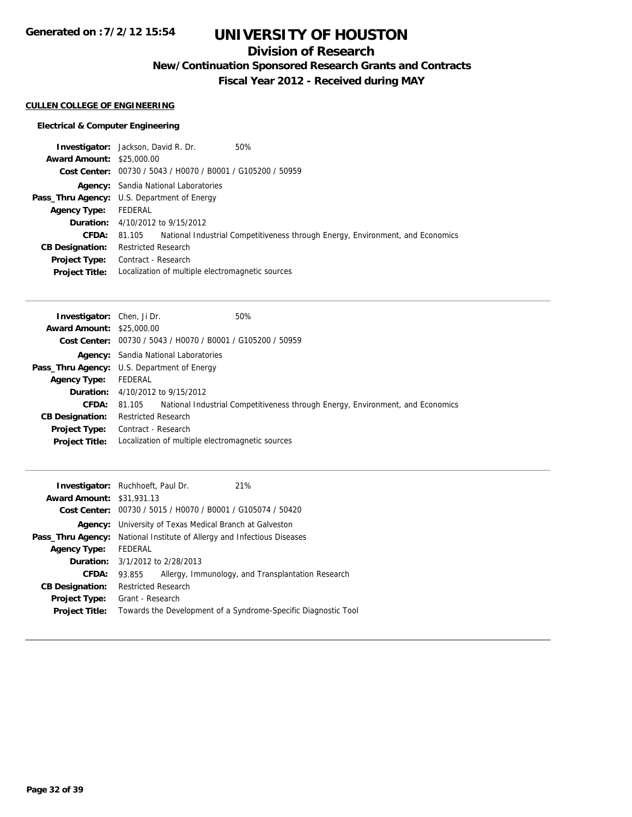## **Division of Research**

**New/Continuation Sponsored Research Grants and Contracts**

**Fiscal Year 2012 - Received during MAY**

### **CULLEN COLLEGE OF ENGINEERING**

|                                  | <b>Investigator:</b> Jackson, David R. Dr.                  | 50%                                                                            |
|----------------------------------|-------------------------------------------------------------|--------------------------------------------------------------------------------|
| <b>Award Amount: \$25,000.00</b> |                                                             |                                                                                |
|                                  | Cost Center: 00730 / 5043 / H0070 / B0001 / G105200 / 50959 |                                                                                |
|                                  | <b>Agency:</b> Sandia National Laboratories                 |                                                                                |
|                                  | <b>Pass_Thru Agency:</b> U.S. Department of Energy          |                                                                                |
| <b>Agency Type:</b>              | FEDERAL                                                     |                                                                                |
|                                  | <b>Duration:</b> 4/10/2012 to 9/15/2012                     |                                                                                |
| <b>CFDA:</b>                     | 81.105                                                      | National Industrial Competitiveness through Energy, Environment, and Economics |
| <b>CB Designation:</b>           | <b>Restricted Research</b>                                  |                                                                                |
| Project Type:                    | Contract - Research                                         |                                                                                |
| <b>Project Title:</b>            | Localization of multiple electromagnetic sources            |                                                                                |

| <b>Investigator:</b> Chen, Ji Dr.                  |                                             | 50%                                                                            |
|----------------------------------------------------|---------------------------------------------|--------------------------------------------------------------------------------|
| <b>Award Amount: \$25,000.00</b>                   |                                             |                                                                                |
|                                                    |                                             | Cost Center: 00730 / 5043 / H0070 / B0001 / G105200 / 50959                    |
|                                                    |                                             | <b>Agency:</b> Sandia National Laboratories                                    |
| <b>Pass_Thru Agency:</b> U.S. Department of Energy |                                             |                                                                                |
| <b>Agency Type:</b>                                | FEDERAL                                     |                                                                                |
|                                                    | <b>Duration:</b> $4/10/2012$ to $9/15/2012$ |                                                                                |
| <b>CFDA:</b>                                       | 81.105                                      | National Industrial Competitiveness through Energy, Environment, and Economics |
| <b>CB Designation:</b>                             | <b>Restricted Research</b>                  |                                                                                |
| Project Type:                                      | Contract - Research                         |                                                                                |
| <b>Project Title:</b>                              |                                             | Localization of multiple electromagnetic sources                               |

| 21%<br><b>Investigator:</b> Ruchhoeft, Paul Dr.                                |                                                                                                                     |  |
|--------------------------------------------------------------------------------|---------------------------------------------------------------------------------------------------------------------|--|
| <b>Award Amount: \$31,931.13</b>                                               |                                                                                                                     |  |
| Cost Center: 00730 / 5015 / H0070 / B0001 / G105074 / 50420                    |                                                                                                                     |  |
| <b>Agency:</b> University of Texas Medical Branch at Galveston                 |                                                                                                                     |  |
| <b>Pass_Thru Agency:</b> National Institute of Allergy and Infectious Diseases |                                                                                                                     |  |
| FEDERAL                                                                        |                                                                                                                     |  |
| <b>Duration:</b> $3/1/2012$ to $2/28/2013$                                     |                                                                                                                     |  |
| 93.855                                                                         |                                                                                                                     |  |
| <b>Restricted Research</b>                                                     |                                                                                                                     |  |
| Grant - Research                                                               |                                                                                                                     |  |
|                                                                                |                                                                                                                     |  |
|                                                                                | Allergy, Immunology, and Transplantation Research<br>Towards the Development of a Syndrome-Specific Diagnostic Tool |  |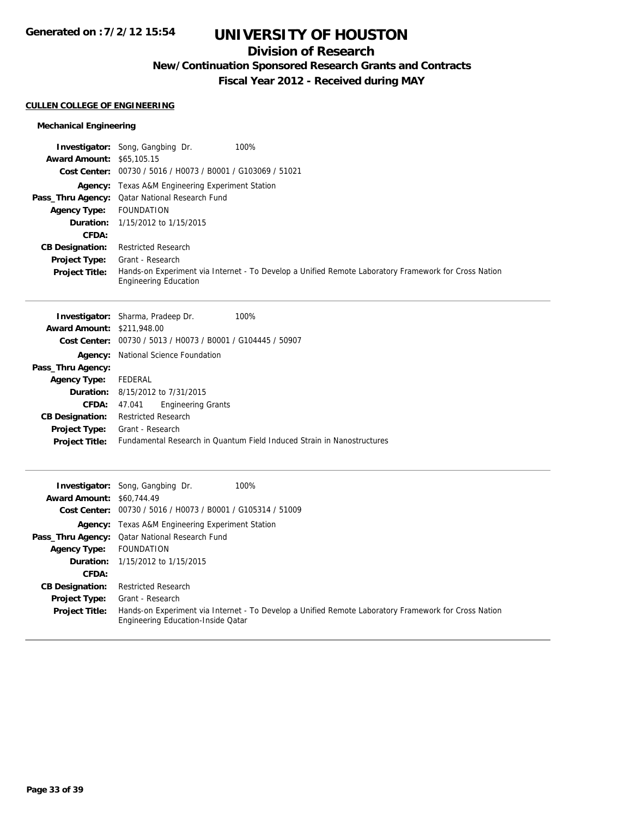## **Division of Research**

**New/Continuation Sponsored Research Grants and Contracts**

**Fiscal Year 2012 - Received during MAY**

### **CULLEN COLLEGE OF ENGINEERING**

### **Mechanical Engineering**

|                                  | <b>Investigator:</b> Song, Gangbing Dr.<br>100%                                                                                      |
|----------------------------------|--------------------------------------------------------------------------------------------------------------------------------------|
| <b>Award Amount: \$65,105.15</b> |                                                                                                                                      |
|                                  | Cost Center: 00730 / 5016 / H0073 / B0001 / G103069 / 51021                                                                          |
|                                  | <b>Agency:</b> Texas A&M Engineering Experiment Station                                                                              |
|                                  | Pass_Thru Agency: Qatar National Research Fund                                                                                       |
| <b>Agency Type:</b>              | FOUNDATION                                                                                                                           |
|                                  | <b>Duration:</b> 1/15/2012 to 1/15/2015                                                                                              |
| <b>CFDA:</b>                     |                                                                                                                                      |
| <b>CB Designation:</b>           | <b>Restricted Research</b>                                                                                                           |
| <b>Project Type:</b>             | Grant - Research                                                                                                                     |
| <b>Project Title:</b>            | Hands-on Experiment via Internet - To Develop a Unified Remote Laboratory Framework for Cross Nation<br><b>Engineering Education</b> |

| <b>Investigator:</b> Sharma, Pradeep Dr. |                            |                                                | 100%                                                                   |
|------------------------------------------|----------------------------|------------------------------------------------|------------------------------------------------------------------------|
| <b>Award Amount: \$211,948.00</b>        |                            |                                                |                                                                        |
| Cost Center:                             |                            | 00730 / 5013 / H0073 / B0001 / G104445 / 50907 |                                                                        |
| Agency:                                  |                            | National Science Foundation                    |                                                                        |
| Pass_Thru Agency:                        |                            |                                                |                                                                        |
| <b>Agency Type:</b>                      | FEDERAL                    |                                                |                                                                        |
|                                          |                            | <b>Duration:</b> 8/15/2012 to 7/31/2015        |                                                                        |
| CFDA:                                    | 47.041                     | <b>Engineering Grants</b>                      |                                                                        |
| <b>CB Designation:</b>                   | <b>Restricted Research</b> |                                                |                                                                        |
| <b>Project Type:</b>                     | Grant - Research           |                                                |                                                                        |
| <b>Project Title:</b>                    |                            |                                                | Fundamental Research in Quantum Field Induced Strain in Nanostructures |
|                                          |                            |                                                |                                                                        |

|                                  | <b>Investigator:</b> Song, Gangbing Dr.<br>100%                                                                                            |
|----------------------------------|--------------------------------------------------------------------------------------------------------------------------------------------|
| <b>Award Amount: \$60,744.49</b> |                                                                                                                                            |
|                                  | Cost Center: 00730 / 5016 / H0073 / B0001 / G105314 / 51009                                                                                |
|                                  | <b>Agency:</b> Texas A&M Engineering Experiment Station                                                                                    |
|                                  | Pass_Thru Agency: Qatar National Research Fund                                                                                             |
| <b>Agency Type:</b>              | FOUNDATION                                                                                                                                 |
|                                  | <b>Duration:</b> 1/15/2012 to 1/15/2015                                                                                                    |
| CFDA:                            |                                                                                                                                            |
| <b>CB Designation:</b>           | <b>Restricted Research</b>                                                                                                                 |
| <b>Project Type:</b>             | Grant - Research                                                                                                                           |
| <b>Project Title:</b>            | Hands-on Experiment via Internet - To Develop a Unified Remote Laboratory Framework for Cross Nation<br>Engineering Education-Inside Qatar |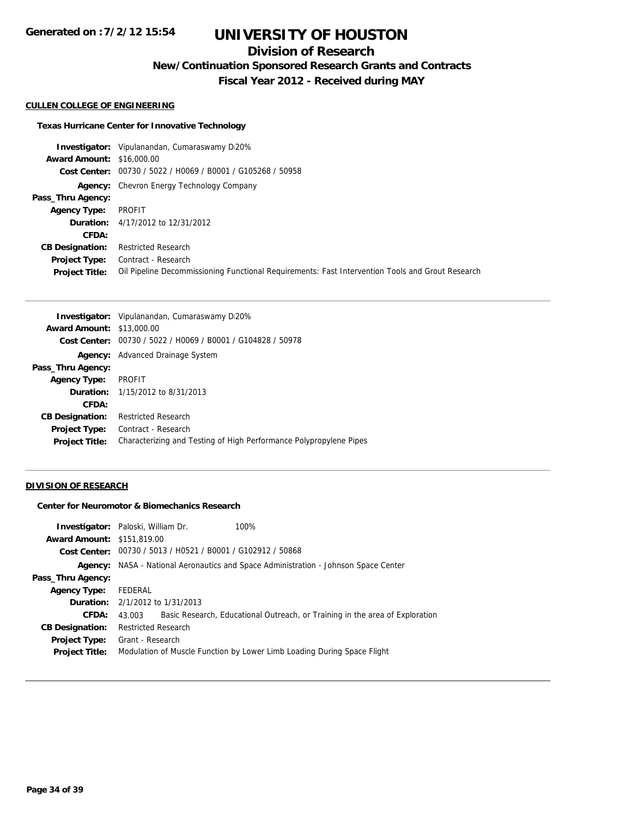# **Division of Research**

**New/Continuation Sponsored Research Grants and Contracts**

**Fiscal Year 2012 - Received during MAY**

### **CULLEN COLLEGE OF ENGINEERING**

#### **Texas Hurricane Center for Innovative Technology**

**Investigator:** Vipulanandan, Cumaraswamy Di20% **Award Amount:** \$16,000.00 **Cost Center:** 00730 / 5022 / H0069 / B0001 / G105268 / 50958 **Agency:** Chevron Energy Technology Company **Pass\_Thru Agency: Agency Type:** PROFIT **Duration:** 4/17/2012 to 12/31/2012 **CFDA: CB Designation:** Restricted Research **Project Type:** Contract - Research **Project Title:** Oil Pipeline Decommissioning Functional Requirements: Fast Intervention Tools and Grout Research

|                                  | <b>Investigator:</b> Vipulanandan, Cumaraswamy D20%                |
|----------------------------------|--------------------------------------------------------------------|
| <b>Award Amount: \$13,000.00</b> |                                                                    |
|                                  | Cost Center: 00730 / 5022 / H0069 / B0001 / G104828 / 50978        |
|                                  | <b>Agency:</b> Advanced Drainage System                            |
| Pass_Thru Agency:                |                                                                    |
| <b>Agency Type:</b>              | <b>PROFIT</b>                                                      |
|                                  | <b>Duration:</b> 1/15/2012 to 8/31/2013                            |
| CFDA:                            |                                                                    |
| <b>CB Designation:</b>           | <b>Restricted Research</b>                                         |
| <b>Project Type:</b>             | Contract - Research                                                |
| <b>Project Title:</b>            | Characterizing and Testing of High Performance Polypropylene Pipes |

#### **DIVISION OF RESEARCH**

#### **Center for Neuromotor & Biomechanics Research**

|                                   | <b>Investigator:</b> Paloski, William Dr.                   | 100%                                                                                       |  |
|-----------------------------------|-------------------------------------------------------------|--------------------------------------------------------------------------------------------|--|
| <b>Award Amount: \$151,819.00</b> |                                                             |                                                                                            |  |
|                                   | Cost Center: 00730 / 5013 / H0521 / B0001 / G102912 / 50868 |                                                                                            |  |
|                                   |                                                             | <b>Agency:</b> NASA - National Aeronautics and Space Administration - Johnson Space Center |  |
| Pass_Thru Agency:                 |                                                             |                                                                                            |  |
| <b>Agency Type:</b>               | FEDERAL                                                     |                                                                                            |  |
|                                   | <b>Duration:</b> 2/1/2012 to 1/31/2013                      |                                                                                            |  |
| CFDA:                             | 43.003                                                      | Basic Research, Educational Outreach, or Training in the area of Exploration               |  |
| <b>CB Designation:</b>            | <b>Restricted Research</b>                                  |                                                                                            |  |
| <b>Project Type:</b>              | Grant - Research                                            |                                                                                            |  |
| <b>Project Title:</b>             |                                                             | Modulation of Muscle Function by Lower Limb Loading During Space Flight                    |  |
|                                   |                                                             |                                                                                            |  |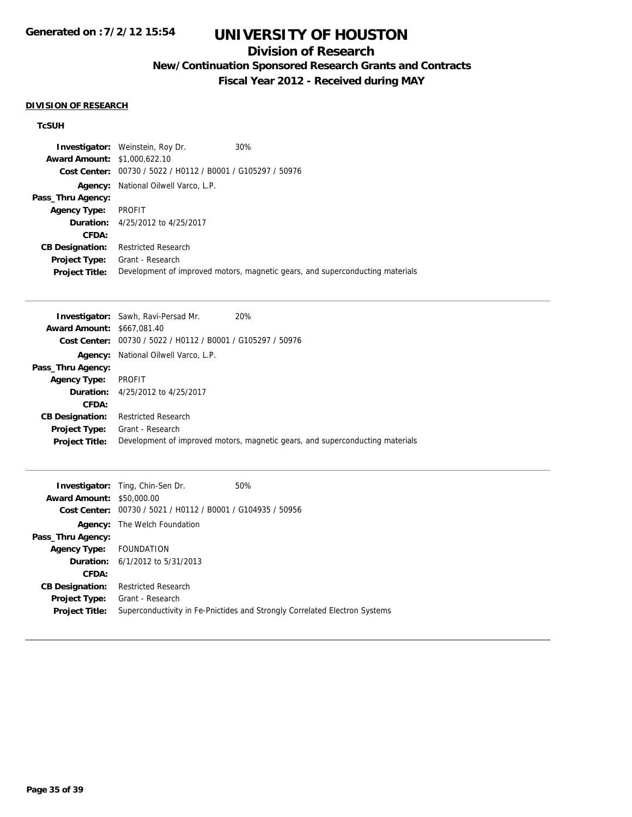# **UNIVERSITY OF HOUSTON**

## **Division of Research**

**New/Continuation Sponsored Research Grants and Contracts**

**Fiscal Year 2012 - Received during MAY**

#### **DIVISION OF RESEARCH**

### **TcSUH**

|                                     | <b>Investigator:</b> Weinstein, Roy Dr.        | 30%                                                                           |
|-------------------------------------|------------------------------------------------|-------------------------------------------------------------------------------|
| <b>Award Amount: \$1,000,622.10</b> |                                                |                                                                               |
| Cost Center:                        | 00730 / 5022 / H0112 / B0001 / G105297 / 50976 |                                                                               |
| Agency:                             | National Oilwell Varco, L.P.                   |                                                                               |
| Pass_Thru Agency:                   |                                                |                                                                               |
| <b>Agency Type:</b>                 | PROFIT                                         |                                                                               |
|                                     | <b>Duration:</b> 4/25/2012 to 4/25/2017        |                                                                               |
| CFDA:                               |                                                |                                                                               |
| <b>CB Designation:</b>              | <b>Restricted Research</b>                     |                                                                               |
| <b>Project Type:</b>                | Grant - Research                               |                                                                               |
| <b>Project Title:</b>               |                                                | Development of improved motors, magnetic gears, and superconducting materials |

| <b>Award Amount: \$667,081.40</b><br>Cost Center: 00730 / 5022 / H0112 / B0001 / G105297 / 50976<br>National Oilwell Varco, L.P.<br>Agency:<br>Pass_Thru Agency:<br>PROFIT<br><b>Agency Type:</b><br><b>Duration:</b> 4/25/2012 to 4/25/2017<br>CFDA:<br><b>Restricted Research</b><br><b>CB Designation:</b><br>Grant - Research<br><b>Project Type:</b><br>Development of improved motors, magnetic gears, and superconducting materials |                       | <b>Investigator:</b> Sawh, Ravi-Persad Mr. | 20% |
|--------------------------------------------------------------------------------------------------------------------------------------------------------------------------------------------------------------------------------------------------------------------------------------------------------------------------------------------------------------------------------------------------------------------------------------------|-----------------------|--------------------------------------------|-----|
|                                                                                                                                                                                                                                                                                                                                                                                                                                            |                       |                                            |     |
|                                                                                                                                                                                                                                                                                                                                                                                                                                            |                       |                                            |     |
|                                                                                                                                                                                                                                                                                                                                                                                                                                            |                       |                                            |     |
|                                                                                                                                                                                                                                                                                                                                                                                                                                            |                       |                                            |     |
|                                                                                                                                                                                                                                                                                                                                                                                                                                            |                       |                                            |     |
|                                                                                                                                                                                                                                                                                                                                                                                                                                            |                       |                                            |     |
|                                                                                                                                                                                                                                                                                                                                                                                                                                            |                       |                                            |     |
|                                                                                                                                                                                                                                                                                                                                                                                                                                            |                       |                                            |     |
|                                                                                                                                                                                                                                                                                                                                                                                                                                            |                       |                                            |     |
|                                                                                                                                                                                                                                                                                                                                                                                                                                            | <b>Project Title:</b> |                                            |     |

|                                  | <b>Investigator:</b> Ting, Chin-Sen Dr.        | 50%                                                                        |
|----------------------------------|------------------------------------------------|----------------------------------------------------------------------------|
| <b>Award Amount: \$50,000.00</b> |                                                |                                                                            |
| Cost Center:                     | 00730 / 5021 / H0112 / B0001 / G104935 / 50956 |                                                                            |
|                                  | <b>Agency:</b> The Welch Foundation            |                                                                            |
| Pass_Thru Agency:                |                                                |                                                                            |
| Agency Type: FOUNDATION          |                                                |                                                                            |
|                                  | <b>Duration:</b> $6/1/2012$ to $5/31/2013$     |                                                                            |
| CFDA:                            |                                                |                                                                            |
| <b>CB Designation:</b>           | <b>Restricted Research</b>                     |                                                                            |
| <b>Project Type:</b>             | Grant - Research                               |                                                                            |
| <b>Project Title:</b>            |                                                | Superconductivity in Fe-Pnictides and Strongly Correlated Electron Systems |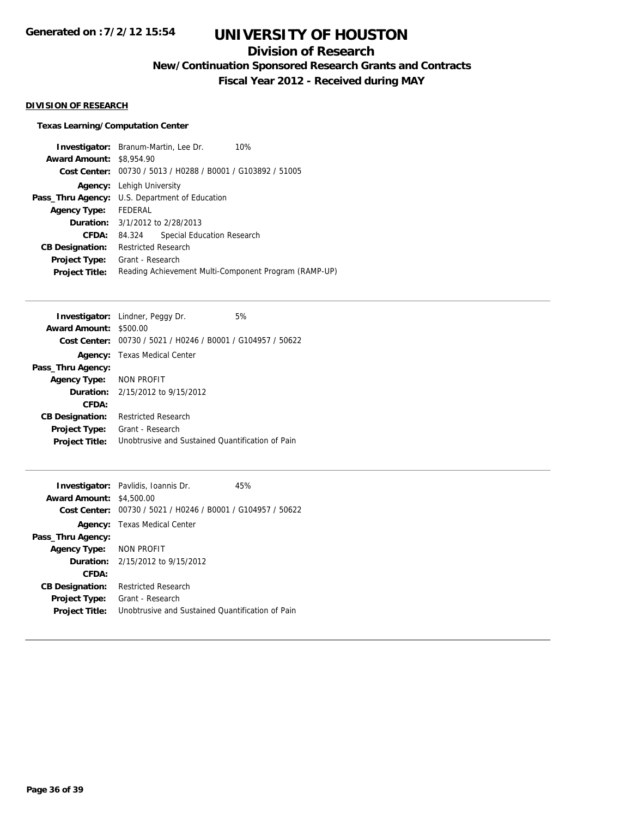## **Division of Research**

**New/Continuation Sponsored Research Grants and Contracts**

**Fiscal Year 2012 - Received during MAY**

### **DIVISION OF RESEARCH**

### **Texas Learning/Computation Center**

| <b>Investigator:</b> Branum-Martin, Lee Dr.<br>10%          |  |
|-------------------------------------------------------------|--|
| <b>Award Amount:</b><br>\$8,954.90                          |  |
| Cost Center: 00730 / 5013 / H0288 / B0001 / G103892 / 51005 |  |
| Lehigh University                                           |  |
| U.S. Department of Education<br>Pass_Thru Agency:           |  |
| <b>FEDERAL</b>                                              |  |
| <b>Duration:</b> 3/1/2012 to 2/28/2013                      |  |
| Special Education Research<br>84.324                        |  |
| <b>Restricted Research</b>                                  |  |
| Grant - Research                                            |  |
| Reading Achievement Multi-Component Program (RAMP-UP)       |  |
|                                                             |  |

|                               | <b>Investigator:</b> Lindner, Peggy Dr.                            | 5% |
|-------------------------------|--------------------------------------------------------------------|----|
| <b>Award Amount: \$500.00</b> |                                                                    |    |
|                               | <b>Cost Center:</b> 00730 / 5021 / H0246 / B0001 / G104957 / 50622 |    |
|                               | <b>Agency:</b> Texas Medical Center                                |    |
| Pass_Thru Agency:             |                                                                    |    |
| Agency Type: NON PROFIT       |                                                                    |    |
|                               | <b>Duration:</b> 2/15/2012 to 9/15/2012                            |    |
| CFDA:                         |                                                                    |    |
| <b>CB Designation:</b>        | <b>Restricted Research</b>                                         |    |
| <b>Project Type:</b>          | Grant - Research                                                   |    |
| <b>Project Title:</b>         | Unobtrusive and Sustained Ouantification of Pain                   |    |
|                               |                                                                    |    |

|                                 | <b>Investigator:</b> Pavlidis, Ioannis Dr.                  | 45% |
|---------------------------------|-------------------------------------------------------------|-----|
| <b>Award Amount: \$4,500.00</b> |                                                             |     |
|                                 | Cost Center: 00730 / 5021 / H0246 / B0001 / G104957 / 50622 |     |
|                                 | <b>Agency:</b> Texas Medical Center                         |     |
| Pass_Thru Agency:               |                                                             |     |
| Agency Type: NON PROFIT         |                                                             |     |
|                                 | <b>Duration:</b> $2/15/2012$ to $9/15/2012$                 |     |
| <b>CFDA:</b>                    |                                                             |     |
| <b>CB Designation:</b>          | <b>Restricted Research</b>                                  |     |
| <b>Project Type:</b>            | Grant - Research                                            |     |
| <b>Project Title:</b>           | Unobtrusive and Sustained Quantification of Pain            |     |
|                                 |                                                             |     |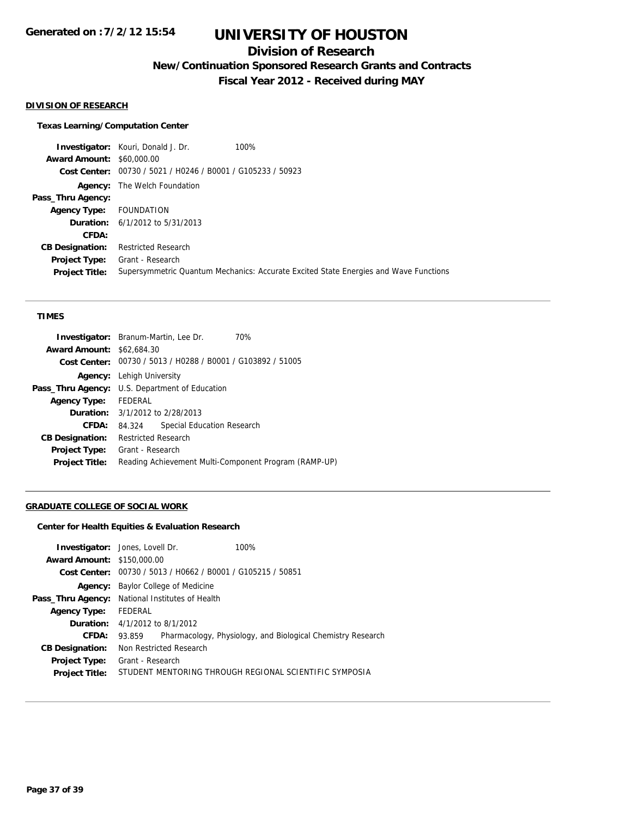## **Division of Research**

**New/Continuation Sponsored Research Grants and Contracts**

**Fiscal Year 2012 - Received during MAY**

### **DIVISION OF RESEARCH**

#### **Texas Learning/Computation Center**

**Investigator:** Kouri, Donald J. Dr. 100% **Award Amount:** \$60,000.00 **Cost Center:** 00730 / 5021 / H0246 / B0001 / G105233 / 50923 **Agency:** The Welch Foundation **Pass\_Thru Agency: Agency Type:** FOUNDATION **Duration:** 6/1/2012 to 5/31/2013 **CFDA: CB Designation:** Restricted Research **Project Type:** Grant - Research **Project Title:** Supersymmetric Quantum Mechanics: Accurate Excited State Energies and Wave Functions

#### **TIMES**

| <b>Award Amount: \$62,684.30</b>                      |                                                             |
|-------------------------------------------------------|-------------------------------------------------------------|
|                                                       | Cost Center: 00730 / 5013 / H0288 / B0001 / G103892 / 51005 |
| <b>Agency:</b> Lehigh University                      |                                                             |
| <b>Pass_Thru Agency:</b> U.S. Department of Education |                                                             |
| Agency Type: FEDERAL                                  |                                                             |
| <b>Duration:</b> 3/1/2012 to 2/28/2013                |                                                             |
| CFDA:<br>84.324                                       | Special Education Research                                  |
| <b>CB Designation:</b>                                | <b>Restricted Research</b>                                  |
| Grant - Research<br>Project Type:                     |                                                             |
| <b>Project Title:</b>                                 | Reading Achievement Multi-Component Program (RAMP-UP)       |

#### **GRADUATE COLLEGE OF SOCIAL WORK**

### **Center for Health Equities & Evaluation Research**

|                                   | <b>Investigator:</b> Jones, Lovell Dr.    | 100%                                                        |
|-----------------------------------|-------------------------------------------|-------------------------------------------------------------|
| <b>Award Amount: \$150,000.00</b> |                                           |                                                             |
|                                   |                                           | Cost Center: 00730 / 5013 / H0662 / B0001 / G105215 / 50851 |
| Agency:                           | Baylor College of Medicine                |                                                             |
| Pass_Thru Agency:                 | National Institutes of Health             |                                                             |
| <b>Agency Type:</b>               | FEDERAL                                   |                                                             |
|                                   | <b>Duration:</b> $4/1/2012$ to $8/1/2012$ |                                                             |
| CFDA:                             | 93.859                                    | Pharmacology, Physiology, and Biological Chemistry Research |
| <b>CB Designation:</b>            | Non Restricted Research                   |                                                             |
| Project Type:                     | Grant - Research                          |                                                             |
| <b>Project Title:</b>             |                                           | STUDENT MENTORING THROUGH REGIONAL SCIENTIFIC SYMPOSIA      |
|                                   |                                           |                                                             |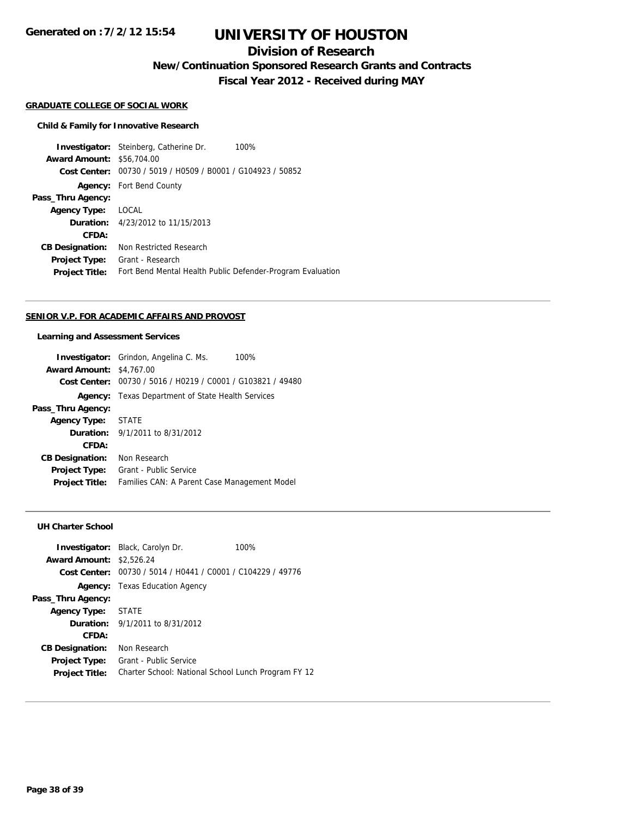# **UNIVERSITY OF HOUSTON**

## **Division of Research**

**New/Continuation Sponsored Research Grants and Contracts**

**Fiscal Year 2012 - Received during MAY**

#### **GRADUATE COLLEGE OF SOCIAL WORK**

#### **Child & Family for Innovative Research**

**Investigator:** Steinberg, Catherine Dr. 100% **Award Amount:** \$56,704.00 **Cost Center:** 00730 / 5019 / H0509 / B0001 / G104923 / 50852 **Agency:** Fort Bend County **Pass\_Thru Agency: Agency Type:** LOCAL **Duration:** 4/23/2012 to 11/15/2013 **CFDA: CB Designation:** Non Restricted Research **Project Type:** Grant - Research **Project Title:** Fort Bend Mental Health Public Defender-Program Evaluation

#### **SENIOR V.P. FOR ACADEMIC AFFAIRS AND PROVOST**

#### **Learning and Assessment Services**

|                        | <b>Investigator:</b> Grindon, Angelina C. Ms.<br>100% |  |
|------------------------|-------------------------------------------------------|--|
| <b>Award Amount:</b>   | \$4,767.00                                            |  |
| <b>Cost Center:</b>    | 00730 / 5016 / H0219 / C0001 / G103821 / 49480        |  |
| Agency:                | Texas Department of State Health Services             |  |
| Pass_Thru Agency:      |                                                       |  |
| <b>Agency Type:</b>    | STATE                                                 |  |
|                        | <b>Duration:</b> 9/1/2011 to 8/31/2012                |  |
| CFDA:                  |                                                       |  |
| <b>CB Designation:</b> | Non Research                                          |  |
| <b>Project Type:</b>   | Grant - Public Service                                |  |
| <b>Project Title:</b>  | Families CAN: A Parent Case Management Model          |  |

#### **UH Charter School**

| <b>Award Amount: \$2,526.24</b>               | <b>Investigator:</b> Black, Carolyn Dr.                                       | 100% |
|-----------------------------------------------|-------------------------------------------------------------------------------|------|
|                                               | Cost Center: 00730 / 5014 / H0441 / C0001 / C104229 / 49776                   |      |
|                                               | <b>Agency:</b> Texas Education Agency                                         |      |
| Pass_Thru Agency:                             |                                                                               |      |
| <b>Agency Type:</b>                           | STATE                                                                         |      |
|                                               | <b>Duration:</b> $9/1/2011$ to $8/31/2012$                                    |      |
| CFDA:                                         |                                                                               |      |
| <b>CB Designation:</b>                        | Non Research                                                                  |      |
| <b>Project Type:</b><br><b>Project Title:</b> | Grant - Public Service<br>Charter School: National School Lunch Program FY 12 |      |
|                                               |                                                                               |      |